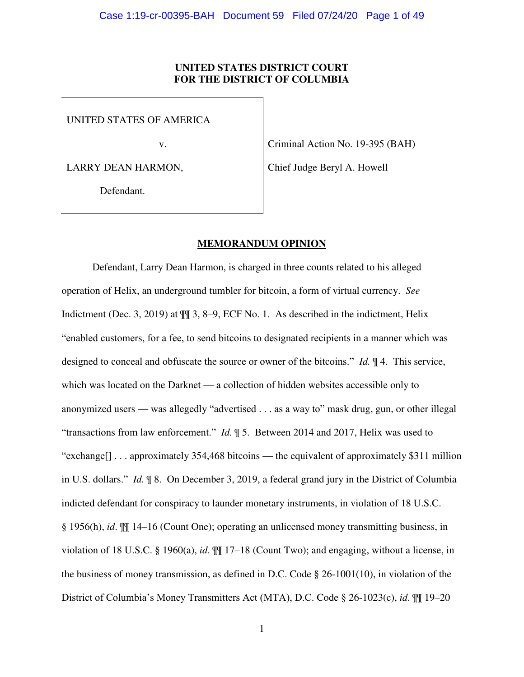# **UNITED STATES DISTRICT COURT FOR THE DISTRICT OF COLUMBIA**

UNITED STATES OF AMERICA

v.

LARRY DEAN HARMON,

Criminal Action No. 19-395 (BAH)

Chief Judge Beryl A. Howell

Defendant.

# **MEMORANDUM OPINION**

 Defendant, Larry Dean Harmon, is charged in three counts related to his alleged operation of Helix, an underground tumbler for bitcoin, a form of virtual currency. *See*  Indictment (Dec. 3, 2019) at ¶¶ 3, 8–9, ECF No. 1. As described in the indictment, Helix "enabled customers, for a fee, to send bitcoins to designated recipients in a manner which was designed to conceal and obfuscate the source or owner of the bitcoins." *Id.* ¶ 4. This service, which was located on the Darknet — a collection of hidden websites accessible only to anonymized users — was allegedly "advertised . . . as a way to" mask drug, gun, or other illegal "transactions from law enforcement." *Id.* ¶ 5. Between 2014 and 2017, Helix was used to "exchange[] . . . approximately 354,468 bitcoins — the equivalent of approximately \$311 million in U.S. dollars." *Id.* ¶ 8. On December 3, 2019, a federal grand jury in the District of Columbia indicted defendant for conspiracy to launder monetary instruments, in violation of 18 U.S.C. § 1956(h), *id*. ¶¶ 14–16 (Count One); operating an unlicensed money transmitting business, in violation of 18 U.S.C. § 1960(a), *id*. ¶¶ 17–18 (Count Two); and engaging, without a license, in the business of money transmission, as defined in D.C. Code § 26-1001(10), in violation of the District of Columbia's Money Transmitters Act (MTA), D.C. Code § 26-1023(c), *id*. ¶¶ 19–20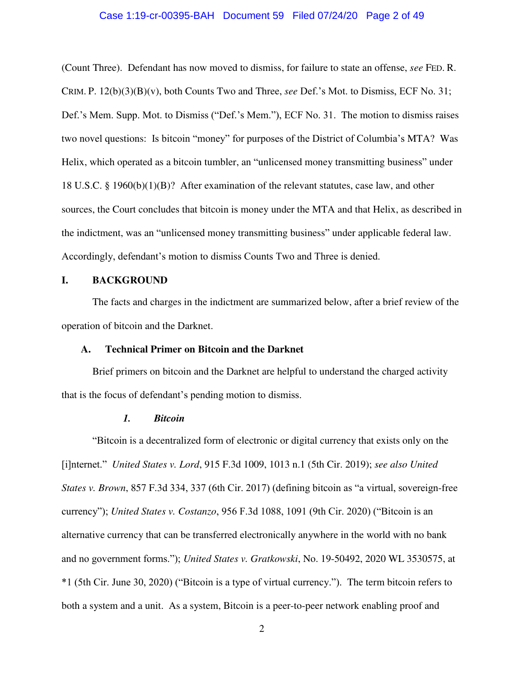# Case 1:19-cr-00395-BAH Document 59 Filed 07/24/20 Page 2 of 49

(Count Three). Defendant has now moved to dismiss, for failure to state an offense, *see* FED. R. CRIM. P. 12(b)(3)(B)(v), both Counts Two and Three, *see* Def.'s Mot. to Dismiss, ECF No. 31; Def.'s Mem. Supp. Mot. to Dismiss ("Def.'s Mem."), ECF No. 31. The motion to dismiss raises two novel questions: Is bitcoin "money" for purposes of the District of Columbia's MTA? Was Helix, which operated as a bitcoin tumbler, an "unlicensed money transmitting business" under 18 U.S.C. § 1960(b)(1)(B)? After examination of the relevant statutes, case law, and other sources, the Court concludes that bitcoin is money under the MTA and that Helix, as described in the indictment, was an "unlicensed money transmitting business" under applicable federal law. Accordingly, defendant's motion to dismiss Counts Two and Three is denied.

# **I. BACKGROUND**

The facts and charges in the indictment are summarized below, after a brief review of the operation of bitcoin and the Darknet.

# **A. Technical Primer on Bitcoin and the Darknet**

Brief primers on bitcoin and the Darknet are helpful to understand the charged activity that is the focus of defendant's pending motion to dismiss.

## *1. Bitcoin*

"Bitcoin is a decentralized form of electronic or digital currency that exists only on the [i]nternet." *United States v. Lord*, 915 F.3d 1009, 1013 n.1 (5th Cir. 2019); *see also United States v. Brown*, 857 F.3d 334, 337 (6th Cir. 2017) (defining bitcoin as "a virtual, sovereign-free currency"); *United States v. Costanzo*, 956 F.3d 1088, 1091 (9th Cir. 2020) ("Bitcoin is an alternative currency that can be transferred electronically anywhere in the world with no bank and no government forms."); *United States v. Gratkowski*, No. 19-50492, 2020 WL 3530575, at \*1 (5th Cir. June 30, 2020) ("Bitcoin is a type of virtual currency."). The term bitcoin refers to both a system and a unit. As a system, Bitcoin is a peer-to-peer network enabling proof and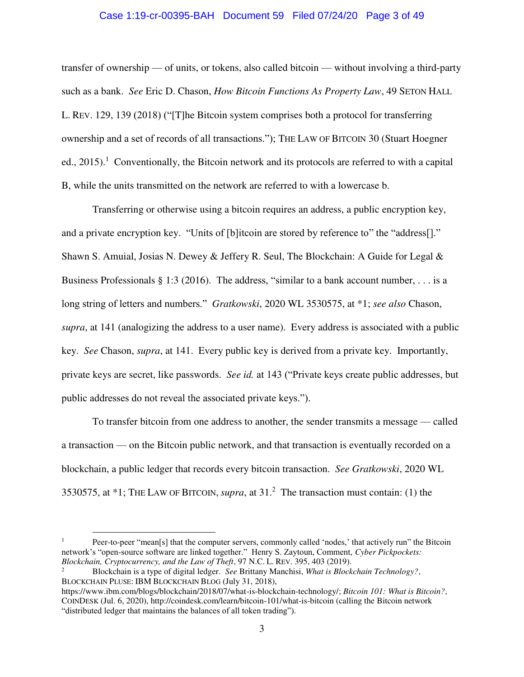# Case 1:19-cr-00395-BAH Document 59 Filed 07/24/20 Page 3 of 49

transfer of ownership — of units, or tokens, also called bitcoin — without involving a third-party such as a bank. *See* Eric D. Chason, *How Bitcoin Functions As Property Law*, 49 SETON HALL L. REV. 129, 139 (2018) ("[T]he Bitcoin system comprises both a protocol for transferring ownership and a set of records of all transactions."); THE LAW OF BITCOIN 30 (Stuart Hoegner ed., 2015).<sup>1</sup> Conventionally, the Bitcoin network and its protocols are referred to with a capital B, while the units transmitted on the network are referred to with a lowercase b.

Transferring or otherwise using a bitcoin requires an address, a public encryption key, and a private encryption key. "Units of [b]itcoin are stored by reference to" the "address[]." Shawn S. Amuial, Josias N. Dewey & Jeffery R. Seul, The Blockchain: A Guide for Legal & Business Professionals § 1:3 (2016). The address, "similar to a bank account number,  $\dots$  is a long string of letters and numbers." *Gratkowski*, 2020 WL 3530575, at \*1; *see also* Chason, *supra*, at 141 (analogizing the address to a user name). Every address is associated with a public key. *See* Chason, *supra*, at 141. Every public key is derived from a private key. Importantly, private keys are secret, like passwords. *See id.* at 143 ("Private keys create public addresses, but public addresses do not reveal the associated private keys.").

To transfer bitcoin from one address to another, the sender transmits a message — called a transaction — on the Bitcoin public network, and that transaction is eventually recorded on a blockchain, a public ledger that records every bitcoin transaction. *See Gratkowski*, 2020 WL 3530575, at  $*1$ ; THE LAW OF BITCOIN, *supra*, at 31.<sup>2</sup> The transaction must contain: (1) the

1 Peer-to-peer "mean[s] that the computer servers, commonly called 'nodes,' that actively run" the Bitcoin network's "open-source software are linked together." Henry S. Zaytoun, Comment, *Cyber Pickpockets: Blockchain, Cryptocurrency, and the Law of Theft*, 97 N.C. L. REV. 395, 403 (2019).

2 Blockchain is a type of digital ledger. *See* Brittany Manchisi, *What is Blockchain Technology?*, BLOCKCHAIN PLUSE: IBM BLOCKCHAIN BLOG (July 31, 2018),

https://www.ibm.com/blogs/blockchain/2018/07/what-is-blockchain-technology/; *Bitcoin 101: What is Bitcoin?*, COINDESK (Jul. 6, 2020), http://coindesk.com/learn/bitcoin-101/what-is-bitcoin (calling the Bitcoin network "distributed ledger that maintains the balances of all token trading").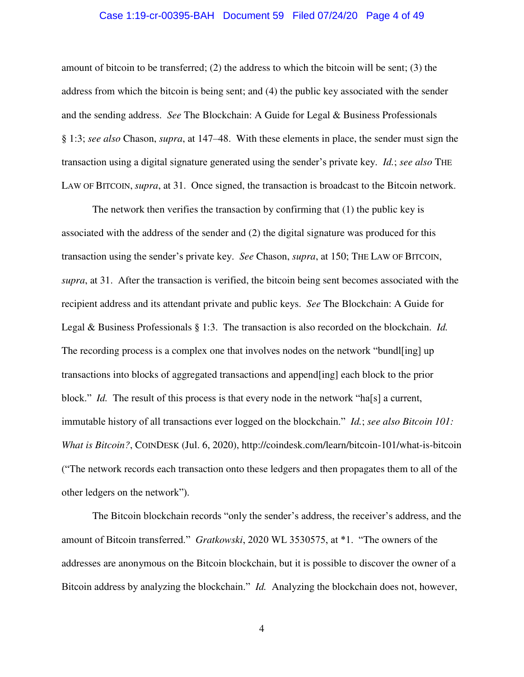# Case 1:19-cr-00395-BAH Document 59 Filed 07/24/20 Page 4 of 49

amount of bitcoin to be transferred; (2) the address to which the bitcoin will be sent; (3) the address from which the bitcoin is being sent; and (4) the public key associated with the sender and the sending address. *See* The Blockchain: A Guide for Legal & Business Professionals § 1:3; *see also* Chason, *supra*, at 147–48. With these elements in place, the sender must sign the transaction using a digital signature generated using the sender's private key. *Id.*; *see also* THE LAW OF BITCOIN, *supra*, at 31. Once signed, the transaction is broadcast to the Bitcoin network.

The network then verifies the transaction by confirming that (1) the public key is associated with the address of the sender and (2) the digital signature was produced for this transaction using the sender's private key. *See* Chason, *supra*, at 150; THE LAW OF BITCOIN, *supra*, at 31. After the transaction is verified, the bitcoin being sent becomes associated with the recipient address and its attendant private and public keys. *See* The Blockchain: A Guide for Legal & Business Professionals § 1:3. The transaction is also recorded on the blockchain. *Id.* The recording process is a complex one that involves nodes on the network "bundl[ing] up transactions into blocks of aggregated transactions and append[ing] each block to the prior block." *Id.* The result of this process is that every node in the network "ha<sup>[s]</sup> a current, immutable history of all transactions ever logged on the blockchain." *Id.*; *see also Bitcoin 101: What is Bitcoin?*, COINDESK (Jul. 6, 2020), http://coindesk.com/learn/bitcoin-101/what-is-bitcoin ("The network records each transaction onto these ledgers and then propagates them to all of the other ledgers on the network").

The Bitcoin blockchain records "only the sender's address, the receiver's address, and the amount of Bitcoin transferred." *Gratkowski*, 2020 WL 3530575, at \*1. "The owners of the addresses are anonymous on the Bitcoin blockchain, but it is possible to discover the owner of a Bitcoin address by analyzing the blockchain." *Id.* Analyzing the blockchain does not, however,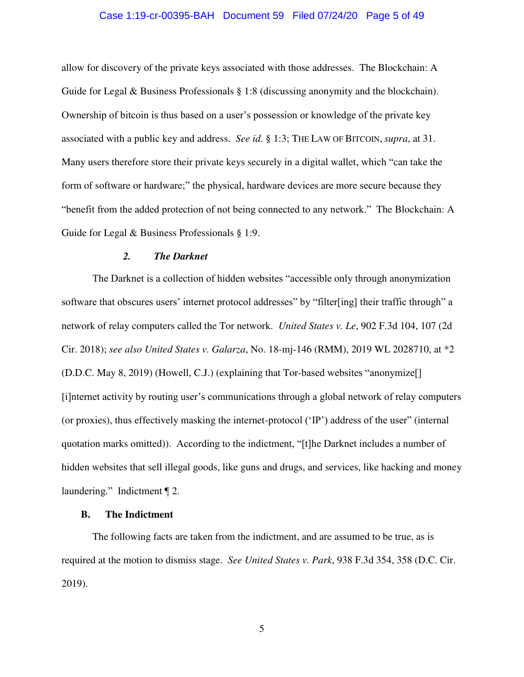# Case 1:19-cr-00395-BAH Document 59 Filed 07/24/20 Page 5 of 49

allow for discovery of the private keys associated with those addresses. The Blockchain: A Guide for Legal & Business Professionals § 1:8 (discussing anonymity and the blockchain). Ownership of bitcoin is thus based on a user's possession or knowledge of the private key associated with a public key and address. *See id.* § 1:3; THE LAW OF BITCOIN, *supra*, at 31. Many users therefore store their private keys securely in a digital wallet, which "can take the form of software or hardware;" the physical, hardware devices are more secure because they "benefit from the added protection of not being connected to any network." The Blockchain: A Guide for Legal & Business Professionals § 1:9.

# *2. The Darknet*

The Darknet is a collection of hidden websites "accessible only through anonymization software that obscures users' internet protocol addresses" by "filter[ing] their traffic through" a network of relay computers called the Tor network. *United States v. Le*, 902 F.3d 104, 107 (2d Cir. 2018); *see also United States v. Galarza*, No. 18-mj-146 (RMM), 2019 WL 2028710, at \*2 (D.D.C. May 8, 2019) (Howell, C.J.) (explaining that Tor-based websites "anonymize[] [i]nternet activity by routing user's communications through a global network of relay computers (or proxies), thus effectively masking the internet-protocol ('IP') address of the user" (internal quotation marks omitted)). According to the indictment, "[t]he Darknet includes a number of hidden websites that sell illegal goods, like guns and drugs, and services, like hacking and money laundering." Indictment ¶ 2.

# **B. The Indictment**

The following facts are taken from the indictment, and are assumed to be true, as is required at the motion to dismiss stage. *See United States v. Park*, 938 F.3d 354, 358 (D.C. Cir. 2019).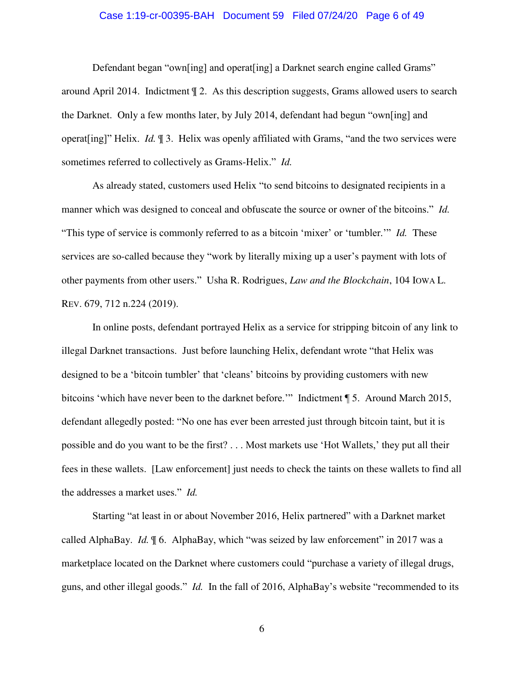# Case 1:19-cr-00395-BAH Document 59 Filed 07/24/20 Page 6 of 49

Defendant began "own[ing] and operat[ing] a Darknet search engine called Grams" around April 2014. Indictment ¶ 2. As this description suggests, Grams allowed users to search the Darknet. Only a few months later, by July 2014, defendant had begun "own[ing] and operat[ing]" Helix. *Id.* ¶ 3. Helix was openly affiliated with Grams, "and the two services were sometimes referred to collectively as Grams-Helix." *Id.*

As already stated, customers used Helix "to send bitcoins to designated recipients in a manner which was designed to conceal and obfuscate the source or owner of the bitcoins." *Id.* "This type of service is commonly referred to as a bitcoin 'mixer' or 'tumbler.'" *Id.* These services are so-called because they "work by literally mixing up a user's payment with lots of other payments from other users." Usha R. Rodrigues, *Law and the Blockchain*, 104 IOWA L. REV. 679, 712 n.224 (2019).

In online posts, defendant portrayed Helix as a service for stripping bitcoin of any link to illegal Darknet transactions. Just before launching Helix, defendant wrote "that Helix was designed to be a 'bitcoin tumbler' that 'cleans' bitcoins by providing customers with new bitcoins 'which have never been to the darknet before.'" Indictment ¶ 5. Around March 2015, defendant allegedly posted: "No one has ever been arrested just through bitcoin taint, but it is possible and do you want to be the first? . . . Most markets use 'Hot Wallets,' they put all their fees in these wallets. [Law enforcement] just needs to check the taints on these wallets to find all the addresses a market uses." *Id.*

Starting "at least in or about November 2016, Helix partnered" with a Darknet market called AlphaBay. *Id.*  $\sqrt{\ }$  6. AlphaBay, which "was seized by law enforcement" in 2017 was a marketplace located on the Darknet where customers could "purchase a variety of illegal drugs, guns, and other illegal goods." *Id.* In the fall of 2016, AlphaBay's website "recommended to its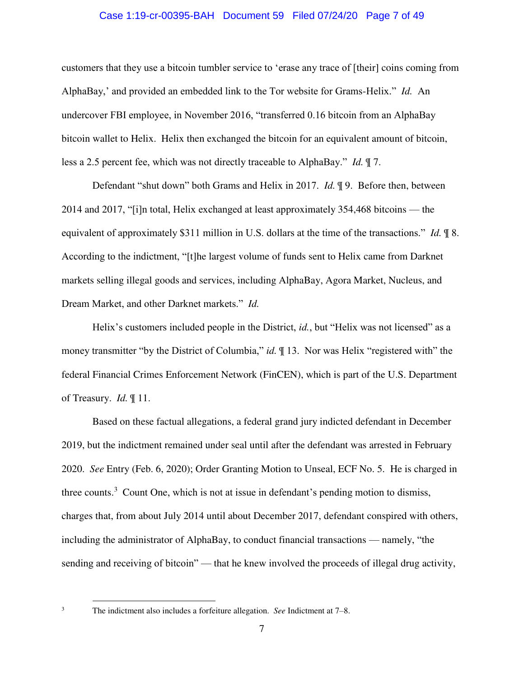# Case 1:19-cr-00395-BAH Document 59 Filed 07/24/20 Page 7 of 49

customers that they use a bitcoin tumbler service to 'erase any trace of [their] coins coming from AlphaBay,' and provided an embedded link to the Tor website for Grams-Helix." *Id.* An undercover FBI employee, in November 2016, "transferred 0.16 bitcoin from an AlphaBay bitcoin wallet to Helix. Helix then exchanged the bitcoin for an equivalent amount of bitcoin, less a 2.5 percent fee, which was not directly traceable to AlphaBay." *Id.* ¶ 7.

Defendant "shut down" both Grams and Helix in 2017. *Id.* ¶ 9. Before then, between 2014 and 2017, "[i]n total, Helix exchanged at least approximately 354,468 bitcoins — the equivalent of approximately \$311 million in U.S. dollars at the time of the transactions." *Id.* ¶ 8. According to the indictment, "[t]he largest volume of funds sent to Helix came from Darknet markets selling illegal goods and services, including AlphaBay, Agora Market, Nucleus, and Dream Market, and other Darknet markets." *Id.*

Helix's customers included people in the District, *id.*, but "Helix was not licensed" as a money transmitter "by the District of Columbia," *id.*  $\parallel$  13. Nor was Helix "registered with" the federal Financial Crimes Enforcement Network (FinCEN), which is part of the U.S. Department of Treasury. *Id.* ¶ 11.

Based on these factual allegations, a federal grand jury indicted defendant in December 2019, but the indictment remained under seal until after the defendant was arrested in February 2020. *See* Entry (Feb. 6, 2020); Order Granting Motion to Unseal, ECF No. 5. He is charged in three counts.<sup>3</sup> Count One, which is not at issue in defendant's pending motion to dismiss, charges that, from about July 2014 until about December 2017, defendant conspired with others, including the administrator of AlphaBay, to conduct financial transactions — namely, "the sending and receiving of bitcoin" — that he knew involved the proceeds of illegal drug activity,

3

The indictment also includes a forfeiture allegation. *See* Indictment at 7–8.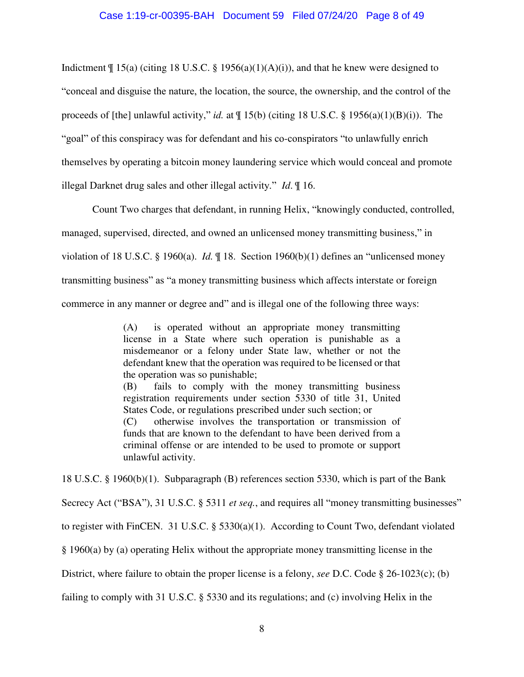Indictment  $\P$  15(a) (citing 18 U.S.C. § 1956(a)(1)(A)(i)), and that he knew were designed to "conceal and disguise the nature, the location, the source, the ownership, and the control of the proceeds of [the] unlawful activity," *id.* at ¶ 15(b) (citing 18 U.S.C. § 1956(a)(1)(B)(i)). The "goal" of this conspiracy was for defendant and his co-conspirators "to unlawfully enrich themselves by operating a bitcoin money laundering service which would conceal and promote illegal Darknet drug sales and other illegal activity." *Id*. ¶ 16.

Count Two charges that defendant, in running Helix, "knowingly conducted, controlled, managed, supervised, directed, and owned an unlicensed money transmitting business," in violation of 18 U.S.C. § 1960(a). *Id.* ¶ 18. Section 1960(b)(1) defines an "unlicensed money transmitting business" as "a money transmitting business which affects interstate or foreign commerce in any manner or degree and" and is illegal one of the following three ways:

> (A) is operated without an appropriate money transmitting license in a State where such operation is punishable as a misdemeanor or a felony under State law, whether or not the defendant knew that the operation was required to be licensed or that the operation was so punishable;

> (B) fails to comply with the money transmitting business registration requirements under section 5330 of title 31, United States Code, or regulations prescribed under such section; or (C) otherwise involves the transportation or transmission of funds that are known to the defendant to have been derived from a criminal offense or are intended to be used to promote or support unlawful activity.

18 U.S.C. § 1960(b)(1). Subparagraph (B) references section 5330, which is part of the Bank

Secrecy Act ("BSA"), 31 U.S.C. § 5311 *et seq.*, and requires all "money transmitting businesses"

to register with FinCEN. 31 U.S.C. § 5330(a)(1). According to Count Two, defendant violated

§ 1960(a) by (a) operating Helix without the appropriate money transmitting license in the

District, where failure to obtain the proper license is a felony, *see* D.C. Code § 26-1023(c); (b)

failing to comply with 31 U.S.C. § 5330 and its regulations; and (c) involving Helix in the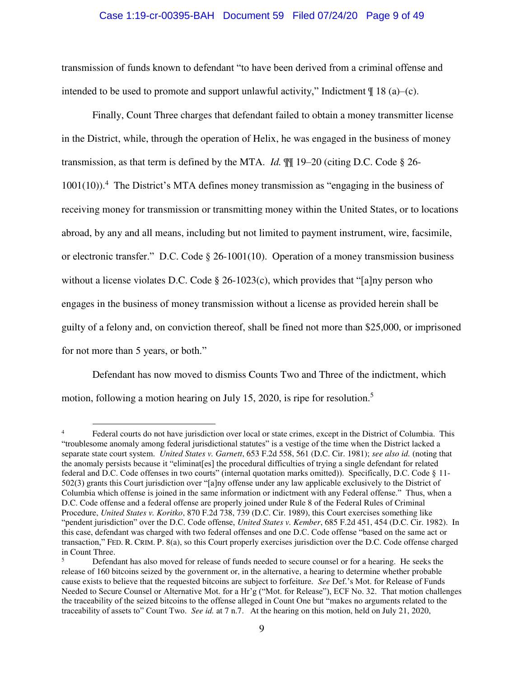## Case 1:19-cr-00395-BAH Document 59 Filed 07/24/20 Page 9 of 49

transmission of funds known to defendant "to have been derived from a criminal offense and intended to be used to promote and support unlawful activity," Indictment  $\P$  18 (a)–(c).

 Finally, Count Three charges that defendant failed to obtain a money transmitter license in the District, while, through the operation of Helix, he was engaged in the business of money transmission, as that term is defined by the MTA. *Id.* ¶¶ 19–20 (citing D.C. Code § 26- 1001(10)).<sup>4</sup> The District's MTA defines money transmission as "engaging in the business of receiving money for transmission or transmitting money within the United States, or to locations abroad, by any and all means, including but not limited to payment instrument, wire, facsimile, or electronic transfer." D.C. Code § 26-1001(10). Operation of a money transmission business without a license violates D.C. Code § 26-1023(c), which provides that "[a]ny person who engages in the business of money transmission without a license as provided herein shall be guilty of a felony and, on conviction thereof, shall be fined not more than \$25,000, or imprisoned for not more than 5 years, or both."

 Defendant has now moved to dismiss Counts Two and Three of the indictment, which motion, following a motion hearing on July 15, 2020, is ripe for resolution.<sup>5</sup>

<sup>4</sup> Federal courts do not have jurisdiction over local or state crimes, except in the District of Columbia. This "troublesome anomaly among federal jurisdictional statutes" is a vestige of the time when the District lacked a separate state court system. *United States v. Garnett*, 653 F.2d 558, 561 (D.C. Cir. 1981); *see also id.* (noting that the anomaly persists because it "eliminat[es] the procedural difficulties of trying a single defendant for related federal and D.C. Code offenses in two courts" (internal quotation marks omitted)). Specifically, D.C. Code § 11- 502(3) grants this Court jurisdiction over "[a]ny offense under any law applicable exclusively to the District of Columbia which offense is joined in the same information or indictment with any Federal offense." Thus, when a D.C. Code offense and a federal offense are properly joined under Rule 8 of the Federal Rules of Criminal Procedure, *United States v. Koritko*, 870 F.2d 738, 739 (D.C. Cir. 1989), this Court exercises something like "pendent jurisdiction" over the D.C. Code offense, *United States v. Kember*, 685 F.2d 451, 454 (D.C. Cir. 1982). In this case, defendant was charged with two federal offenses and one D.C. Code offense "based on the same act or transaction," FED. R. CRIM. P. 8(a), so this Court properly exercises jurisdiction over the D.C. Code offense charged in Count Three.

<sup>5</sup> Defendant has also moved for release of funds needed to secure counsel or for a hearing. He seeks the release of 160 bitcoins seized by the government or, in the alternative, a hearing to determine whether probable cause exists to believe that the requested bitcoins are subject to forfeiture. *See* Def.'s Mot. for Release of Funds Needed to Secure Counsel or Alternative Mot. for a Hr'g ("Mot. for Release"), ECF No. 32. That motion challenges the traceability of the seized bitcoins to the offense alleged in Count One but "makes no arguments related to the traceability of assets to" Count Two. *See id.* at 7 n.7. At the hearing on this motion, held on July 21, 2020,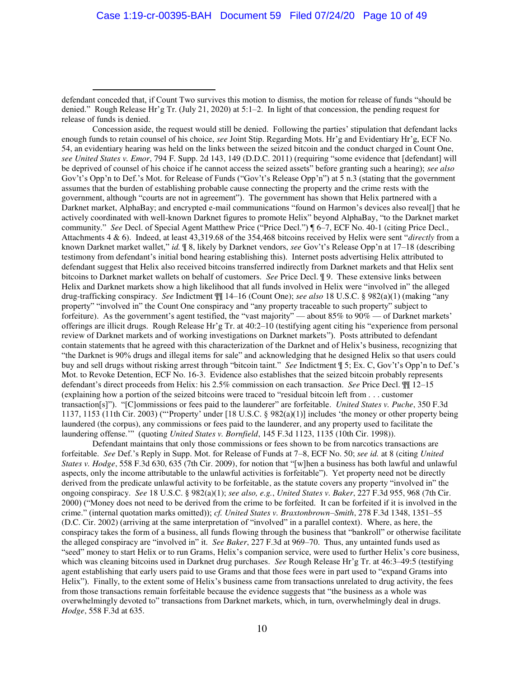$\overline{a}$ 

Concession aside, the request would still be denied. Following the parties' stipulation that defendant lacks enough funds to retain counsel of his choice, *see* Joint Stip. Regarding Mots. Hr'g and Evidentiary Hr'g, ECF No. 54, an evidentiary hearing was held on the links between the seized bitcoin and the conduct charged in Count One, *see United States v. Emor*, 794 F. Supp. 2d 143, 149 (D.D.C. 2011) (requiring "some evidence that [defendant] will be deprived of counsel of his choice if he cannot access the seized assets" before granting such a hearing); *see also*  Gov't's Opp'n to Def.'s Mot. for Release of Funds ("Gov't's Release Opp'n") at 5 n.3 (stating that the government assumes that the burden of establishing probable cause connecting the property and the crime rests with the government, although "courts are not in agreement"). The government has shown that Helix partnered with a Darknet market, AlphaBay; and encrypted e-mail communications "found on Harmon's devices also reveal[] that he actively coordinated with well-known Darknet figures to promote Helix" beyond AlphaBay, "to the Darknet market community." *See* Decl. of Special Agent Matthew Price ("Price Decl.") ¶ 6–7, ECF No. 40-1 (citing Price Decl., Attachments 4 & 6). Indeed, at least 43,319.68 of the 354,468 bitcoins received by Helix were sent "*directly* from a known Darknet market wallet," *id.* ¶ 8, likely by Darknet vendors, *see* Gov't's Release Opp'n at 17–18 (describing testimony from defendant's initial bond hearing establishing this). Internet posts advertising Helix attributed to defendant suggest that Helix also received bitcoins transferred indirectly from Darknet markets and that Helix sent bitcoins to Darknet market wallets on behalf of customers. *See* Price Decl. ¶ 9. These extensive links between Helix and Darknet markets show a high likelihood that all funds involved in Helix were "involved in" the alleged drug-trafficking conspiracy. *See* Indictment ¶¶ 14–16 (Count One); *see also* 18 U.S.C. § 982(a)(1) (making "any property" "involved in" the Count One conspiracy and "any property traceable to such property" subject to forfeiture). As the government's agent testified, the "vast majority" — about 85% to 90% — of Darknet markets' offerings are illicit drugs. Rough Release Hr'g Tr. at 40:2–10 (testifying agent citing his "experience from personal review of Darknet markets and of working investigations on Darknet markets"). Posts attributed to defendant contain statements that he agreed with this characterization of the Darknet and of Helix's business, recognizing that "the Darknet is 90% drugs and illegal items for sale" and acknowledging that he designed Helix so that users could buy and sell drugs without risking arrest through "bitcoin taint." *See* Indictment ¶ 5; Ex. C, Gov't's Opp'n to Def.'s Mot. to Revoke Detention, ECF No. 16-3. Evidence also establishes that the seized bitcoin probably represents defendant's direct proceeds from Helix: his 2.5% commission on each transaction. *See* Price Decl. ¶¶ 12–15 (explaining how a portion of the seized bitcoins were traced to "residual bitcoin left from . . . customer transaction[s]"). "[C]ommissions or fees paid to the launderer" are forfeitable. *United States v. Puche*, 350 F.3d 1137, 1153 (11th Cir. 2003) ("'Property' under [18 U.S.C. § 982(a)(1)] includes 'the money or other property being laundered (the corpus), any commissions or fees paid to the launderer, and any property used to facilitate the laundering offense.'" (quoting *United States v. Bornfield*, 145 F.3d 1123, 1135 (10th Cir. 1998)).

 Defendant maintains that only those commissions or fees shown to be from narcotics transactions are forfeitable. *See* Def.'s Reply in Supp. Mot. for Release of Funds at 7–8, ECF No. 50; *see id.* at 8 (citing *United States v. Hodge*, 558 F.3d 630, 635 (7th Cir. 2009), for notion that "[w]hen a business has both lawful and unlawful aspects, only the income attributable to the unlawful activities is forfeitable"). Yet property need not be directly derived from the predicate unlawful activity to be forfeitable, as the statute covers any property "involved in" the ongoing conspiracy. *See* 18 U.S.C. § 982(a)(1); *see also, e.g.*, *United States v. Baker*, 227 F.3d 955, 968 (7th Cir. 2000) ("Money does not need to be derived from the crime to be forfeited. It can be forfeited if it is involved in the crime." (internal quotation marks omitted)); *cf. United States v. Braxtonbrown–Smith*, 278 F.3d 1348, 1351–55 (D.C. Cir. 2002) (arriving at the same interpretation of "involved" in a parallel context). Where, as here, the conspiracy takes the form of a business, all funds flowing through the business that "bankroll" or otherwise facilitate the alleged conspiracy are "involved in" it. *See Baker*, 227 F.3d at 969–70. Thus, any untainted funds used as "seed" money to start Helix or to run Grams, Helix's companion service, were used to further Helix's core business, which was cleaning bitcoins used in Darknet drug purchases. *See* Rough Release Hr'g Tr. at 46:3–49:5 (testifying agent establishing that early users paid to use Grams and that those fees were in part used to "expand Grams into Helix"). Finally, to the extent some of Helix's business came from transactions unrelated to drug activity, the fees from those transactions remain forfeitable because the evidence suggests that "the business as a whole was overwhelmingly devoted to" transactions from Darknet markets, which, in turn, overwhelmingly deal in drugs. *Hodge*, 558 F.3d at 635.

defendant conceded that, if Count Two survives this motion to dismiss, the motion for release of funds "should be denied." Rough Release Hr'g Tr. (July 21, 2020) at 5:1–2. In light of that concession, the pending request for release of funds is denied.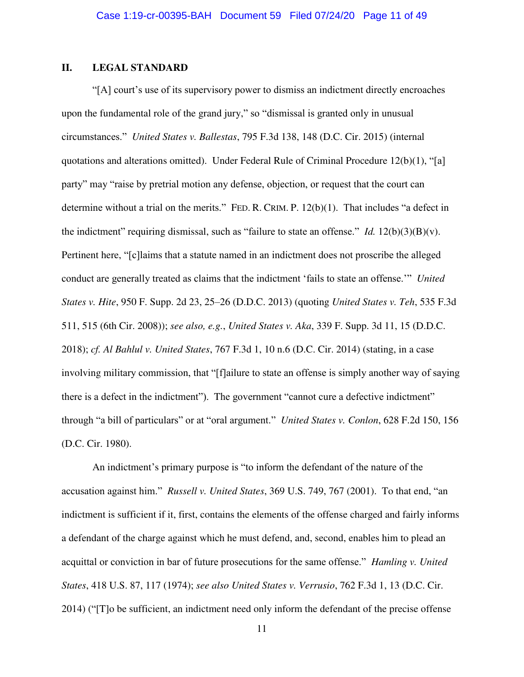# **II. LEGAL STANDARD**

"[A] court's use of its supervisory power to dismiss an indictment directly encroaches upon the fundamental role of the grand jury," so "dismissal is granted only in unusual circumstances." *United States v. Ballestas*, 795 F.3d 138, 148 (D.C. Cir. 2015) (internal quotations and alterations omitted). Under Federal Rule of Criminal Procedure 12(b)(1), "[a] party" may "raise by pretrial motion any defense, objection, or request that the court can determine without a trial on the merits." FED. R. CRIM. P. 12(b)(1). That includes "a defect in the indictment" requiring dismissal, such as "failure to state an offense." *Id.* 12(b)(3)(B)(v). Pertinent here, "[c]laims that a statute named in an indictment does not proscribe the alleged conduct are generally treated as claims that the indictment 'fails to state an offense.'" *United States v. Hite*, 950 F. Supp. 2d 23, 25–26 (D.D.C. 2013) (quoting *United States v. Teh*, 535 F.3d 511, 515 (6th Cir. 2008)); *see also, e.g.*, *United States v. Aka*, 339 F. Supp. 3d 11, 15 (D.D.C. 2018); *cf. Al Bahlul v. United States*, 767 F.3d 1, 10 n.6 (D.C. Cir. 2014) (stating, in a case involving military commission, that "[f]ailure to state an offense is simply another way of saying there is a defect in the indictment"). The government "cannot cure a defective indictment" through "a bill of particulars" or at "oral argument." *United States v. Conlon*, 628 F.2d 150, 156 (D.C. Cir. 1980).

An indictment's primary purpose is "to inform the defendant of the nature of the accusation against him." *Russell v. United States*, 369 U.S. 749, 767 (2001). To that end, "an indictment is sufficient if it, first, contains the elements of the offense charged and fairly informs a defendant of the charge against which he must defend, and, second, enables him to plead an acquittal or conviction in bar of future prosecutions for the same offense." *Hamling v. United States*, 418 U.S. 87, 117 (1974); *see also United States v. Verrusio*, 762 F.3d 1, 13 (D.C. Cir. 2014) ("[T]o be sufficient, an indictment need only inform the defendant of the precise offense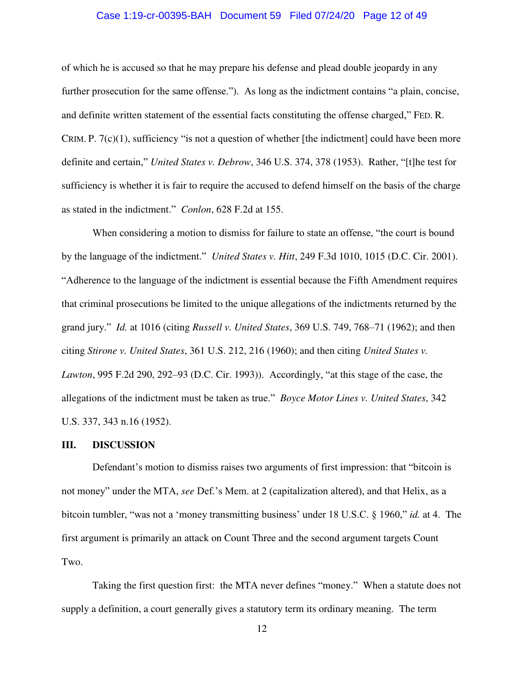# Case 1:19-cr-00395-BAH Document 59 Filed 07/24/20 Page 12 of 49

of which he is accused so that he may prepare his defense and plead double jeopardy in any further prosecution for the same offense."). As long as the indictment contains "a plain, concise, and definite written statement of the essential facts constituting the offense charged," FED. R. CRIM. P. 7(c)(1), sufficiency "is not a question of whether [the indictment] could have been more definite and certain," *United States v. Debrow*, 346 U.S. 374, 378 (1953). Rather, "[t]he test for sufficiency is whether it is fair to require the accused to defend himself on the basis of the charge as stated in the indictment." *Conlon*, 628 F.2d at 155.

When considering a motion to dismiss for failure to state an offense, "the court is bound by the language of the indictment." *United States v. Hitt*, 249 F.3d 1010, 1015 (D.C. Cir. 2001). "Adherence to the language of the indictment is essential because the Fifth Amendment requires that criminal prosecutions be limited to the unique allegations of the indictments returned by the grand jury." *Id.* at 1016 (citing *Russell v. United States*, 369 U.S. 749, 768–71 (1962); and then citing *Stirone v. United States*, 361 U.S. 212, 216 (1960); and then citing *United States v. Lawton*, 995 F.2d 290, 292–93 (D.C. Cir. 1993)). Accordingly, "at this stage of the case, the allegations of the indictment must be taken as true." *Boyce Motor Lines v. United States*, 342 U.S. 337, 343 n.16 (1952).

#### **III. DISCUSSION**

Defendant's motion to dismiss raises two arguments of first impression: that "bitcoin is not money" under the MTA, *see* Def.'s Mem. at 2 (capitalization altered), and that Helix, as a bitcoin tumbler, "was not a 'money transmitting business' under 18 U.S.C. § 1960," *id.* at 4. The first argument is primarily an attack on Count Three and the second argument targets Count Two.

Taking the first question first: the MTA never defines "money." When a statute does not supply a definition, a court generally gives a statutory term its ordinary meaning. The term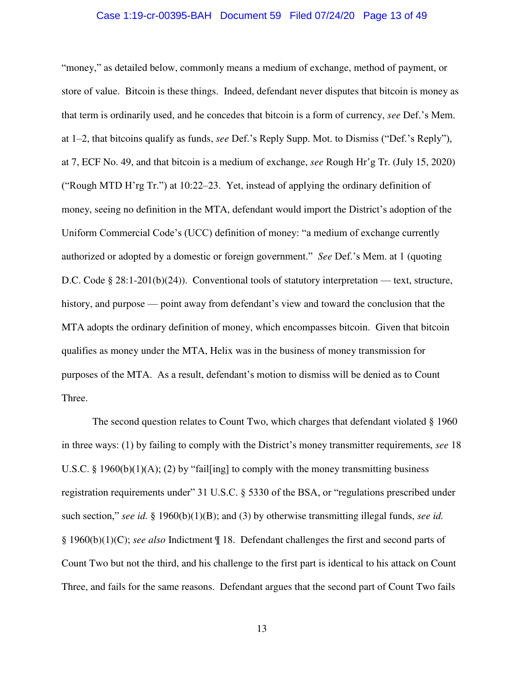# Case 1:19-cr-00395-BAH Document 59 Filed 07/24/20 Page 13 of 49

"money," as detailed below, commonly means a medium of exchange, method of payment, or store of value. Bitcoin is these things. Indeed, defendant never disputes that bitcoin is money as that term is ordinarily used, and he concedes that bitcoin is a form of currency, *see* Def.'s Mem. at 1–2, that bitcoins qualify as funds, *see* Def.'s Reply Supp. Mot. to Dismiss ("Def.'s Reply"), at 7, ECF No. 49, and that bitcoin is a medium of exchange, *see* Rough Hr'g Tr. (July 15, 2020) ("Rough MTD H'rg Tr.") at 10:22–23. Yet, instead of applying the ordinary definition of money, seeing no definition in the MTA, defendant would import the District's adoption of the Uniform Commercial Code's (UCC) definition of money: "a medium of exchange currently authorized or adopted by a domestic or foreign government." *See* Def.'s Mem. at 1 (quoting D.C. Code § 28:1-201(b)(24)). Conventional tools of statutory interpretation — text, structure, history, and purpose — point away from defendant's view and toward the conclusion that the MTA adopts the ordinary definition of money, which encompasses bitcoin. Given that bitcoin qualifies as money under the MTA, Helix was in the business of money transmission for purposes of the MTA. As a result, defendant's motion to dismiss will be denied as to Count Three.

The second question relates to Count Two, which charges that defendant violated § 1960 in three ways: (1) by failing to comply with the District's money transmitter requirements, *see* 18 U.S.C. § 1960(b)(1)(A); (2) by "fail[ing] to comply with the money transmitting business registration requirements under" 31 U.S.C. § 5330 of the BSA, or "regulations prescribed under such section," *see id.* § 1960(b)(1)(B); and (3) by otherwise transmitting illegal funds, *see id.*  § 1960(b)(1)(C); *see also* Indictment ¶ 18. Defendant challenges the first and second parts of Count Two but not the third, and his challenge to the first part is identical to his attack on Count Three, and fails for the same reasons. Defendant argues that the second part of Count Two fails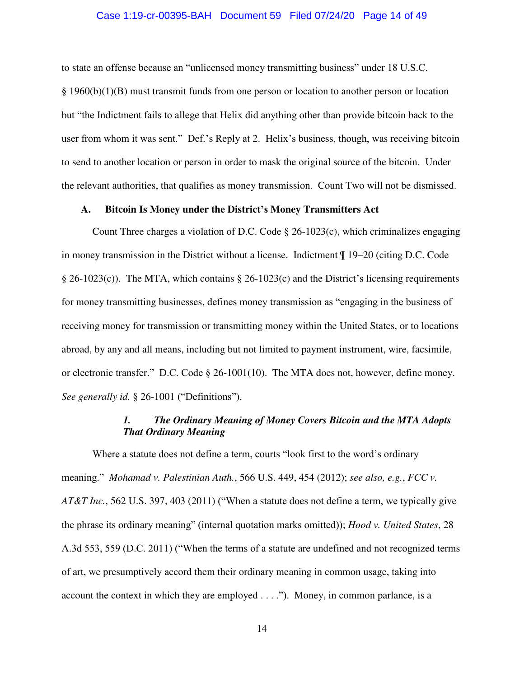# Case 1:19-cr-00395-BAH Document 59 Filed 07/24/20 Page 14 of 49

to state an offense because an "unlicensed money transmitting business" under 18 U.S.C.

§ 1960(b)(1)(B) must transmit funds from one person or location to another person or location but "the Indictment fails to allege that Helix did anything other than provide bitcoin back to the user from whom it was sent." Def.'s Reply at 2. Helix's business, though, was receiving bitcoin to send to another location or person in order to mask the original source of the bitcoin. Under the relevant authorities, that qualifies as money transmission. Count Two will not be dismissed.

#### **A. Bitcoin Is Money under the District's Money Transmitters Act**

Count Three charges a violation of D.C. Code § 26-1023(c), which criminalizes engaging in money transmission in the District without a license. Indictment ¶ 19–20 (citing D.C. Code  $\S$  26-1023(c)). The MTA, which contains  $\S$  26-1023(c) and the District's licensing requirements for money transmitting businesses, defines money transmission as "engaging in the business of receiving money for transmission or transmitting money within the United States, or to locations abroad, by any and all means, including but not limited to payment instrument, wire, facsimile, or electronic transfer." D.C. Code  $\S$  26-1001(10). The MTA does not, however, define money. *See generally id.* § 26-1001 ("Definitions").

# *1. The Ordinary Meaning of Money Covers Bitcoin and the MTA Adopts That Ordinary Meaning*

Where a statute does not define a term, courts "look first to the word's ordinary meaning." *Mohamad v. Palestinian Auth.*, 566 U.S. 449, 454 (2012); *see also, e.g.*, *FCC v. AT&T Inc.*, 562 U.S. 397, 403 (2011) ("When a statute does not define a term, we typically give the phrase its ordinary meaning" (internal quotation marks omitted)); *Hood v. United States*, 28 A.3d 553, 559 (D.C. 2011) ("When the terms of a statute are undefined and not recognized terms of art, we presumptively accord them their ordinary meaning in common usage, taking into account the context in which they are employed  $\dots$ ."). Money, in common parlance, is a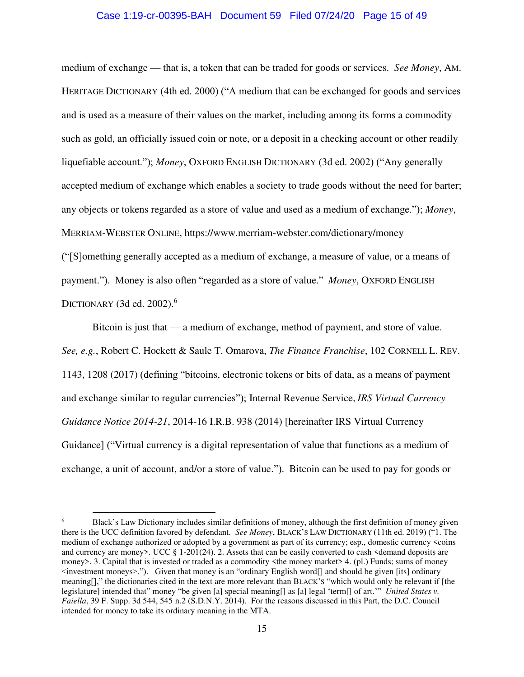# Case 1:19-cr-00395-BAH Document 59 Filed 07/24/20 Page 15 of 49

medium of exchange — that is, a token that can be traded for goods or services. *See Money*, AM. HERITAGE DICTIONARY (4th ed. 2000) ("A medium that can be exchanged for goods and services and is used as a measure of their values on the market, including among its forms a commodity such as gold, an officially issued coin or note, or a deposit in a checking account or other readily liquefiable account."); *Money*, OXFORD ENGLISH DICTIONARY (3d ed. 2002) ("Any generally accepted medium of exchange which enables a society to trade goods without the need for barter; any objects or tokens regarded as a store of value and used as a medium of exchange."); *Money*, MERRIAM-WEBSTER ONLINE, https://www.merriam-webster.com/dictionary/money ("[S]omething generally accepted as a medium of exchange, a measure of value, or a means of payment."). Money is also often "regarded as a store of value." *Money*, OXFORD ENGLISH DICTIONARY (3d ed. 2002).<sup>6</sup>

Bitcoin is just that — a medium of exchange, method of payment, and store of value. *See, e.g.*, Robert C. Hockett & Saule T. Omarova, *The Finance Franchise*, 102 CORNELL L. REV. 1143, 1208 (2017) (defining "bitcoins, electronic tokens or bits of data, as a means of payment and exchange similar to regular currencies"); Internal Revenue Service, *IRS Virtual Currency Guidance Notice 2014-21*, 2014-16 I.R.B. 938 (2014) [hereinafter IRS Virtual Currency Guidance] ("Virtual currency is a digital representation of value that functions as a medium of exchange, a unit of account, and/or a store of value."). Bitcoin can be used to pay for goods or

<sup>6</sup> Black's Law Dictionary includes similar definitions of money, although the first definition of money given there is the UCC definition favored by defendant. *See Money*, BLACK'S LAW DICTIONARY (11th ed. 2019) ("1. The medium of exchange authorized or adopted by a government as part of its currency; esp., domestic currency <coins and currency are money>. UCC  $\S$  1-201(24). 2. Assets that can be easily converted to cash  $\leq$  demand deposits are money>. 3. Capital that is invested or traded as a commodity  $\triangleleft$  the money market> 4. (pl.) Funds; sums of money  $\leq$ investment moneys>."). Given that money is an "ordinary English word[] and should be given [its] ordinary meaning[]," the dictionaries cited in the text are more relevant than BLACK'S "which would only be relevant if [the legislature] intended that" money "be given [a] special meaning[] as [a] legal 'term[] of art.'" *United States v. Faiella*, 39 F. Supp. 3d 544, 545 n.2 (S.D.N.Y. 2014). For the reasons discussed in this Part, the D.C. Council intended for money to take its ordinary meaning in the MTA.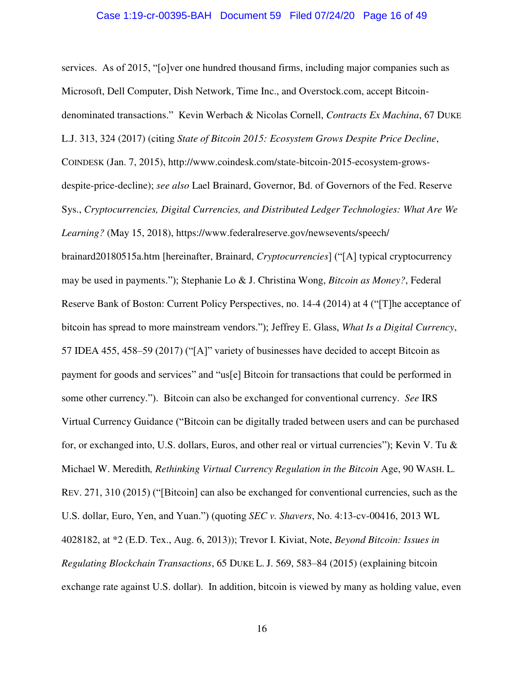### Case 1:19-cr-00395-BAH Document 59 Filed 07/24/20 Page 16 of 49

services. As of 2015, "[o]ver one hundred thousand firms, including major companies such as Microsoft, Dell Computer, Dish Network, Time Inc., and Overstock.com, accept Bitcoindenominated transactions." Kevin Werbach & Nicolas Cornell, *Contracts Ex Machina*, 67 DUKE L.J. 313, 324 (2017) (citing *State of Bitcoin 2015: Ecosystem Grows Despite Price Decline*, COINDESK (Jan. 7, 2015), http://www.coindesk.com/state-bitcoin-2015-ecosystem-growsdespite-price-decline); *see also* Lael Brainard, Governor, Bd. of Governors of the Fed. Reserve Sys., *Cryptocurrencies, Digital Currencies, and Distributed Ledger Technologies: What Are We Learning?* (May 15, 2018), https://www.federalreserve.gov/newsevents/speech/ brainard20180515a.htm [hereinafter, Brainard, *Cryptocurrencies*] ("[A] typical cryptocurrency may be used in payments."); Stephanie Lo & J. Christina Wong, *Bitcoin as Money?*, Federal Reserve Bank of Boston: Current Policy Perspectives, no. 14-4 (2014) at 4 ("[T]he acceptance of bitcoin has spread to more mainstream vendors."); Jeffrey E. Glass, *What Is a Digital Currency*, 57 IDEA 455, 458–59 (2017) ("[A]" variety of businesses have decided to accept Bitcoin as payment for goods and services" and "us[e] Bitcoin for transactions that could be performed in some other currency."). Bitcoin can also be exchanged for conventional currency. *See* IRS Virtual Currency Guidance ("Bitcoin can be digitally traded between users and can be purchased for, or exchanged into, U.S. dollars, Euros, and other real or virtual currencies"); Kevin V. Tu & Michael W. Meredith*, Rethinking Virtual Currency Regulation in the Bitcoin* Age, 90 WASH. L. REV. 271, 310 (2015) ("[Bitcoin] can also be exchanged for conventional currencies, such as the U.S. dollar, Euro, Yen, and Yuan.") (quoting *SEC v. Shavers*, No. 4:13-cv-00416, 2013 WL 4028182, at \*2 (E.D. Tex., Aug. 6, 2013)); Trevor I. Kiviat, Note, *Beyond Bitcoin: Issues in Regulating Blockchain Transactions*, 65 DUKE L. J. 569, 583–84 (2015) (explaining bitcoin exchange rate against U.S. dollar). In addition, bitcoin is viewed by many as holding value, even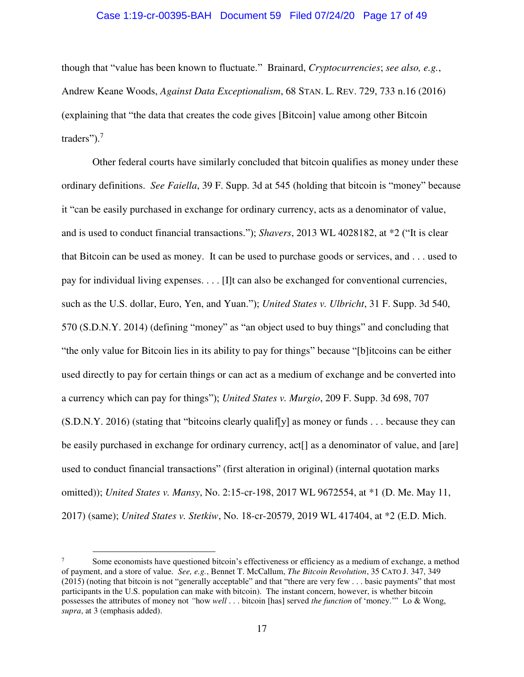# Case 1:19-cr-00395-BAH Document 59 Filed 07/24/20 Page 17 of 49

though that "value has been known to fluctuate." Brainard, *Cryptocurrencies*; *see also, e.g.*, Andrew Keane Woods, *Against Data Exceptionalism*, 68 STAN. L. REV. 729, 733 n.16 (2016) (explaining that "the data that creates the code gives [Bitcoin] value among other Bitcoin traders").<sup>7</sup>

Other federal courts have similarly concluded that bitcoin qualifies as money under these ordinary definitions. *See Faiella*, 39 F. Supp. 3d at 545 (holding that bitcoin is "money" because it "can be easily purchased in exchange for ordinary currency, acts as a denominator of value, and is used to conduct financial transactions."); *Shavers*, 2013 WL 4028182, at \*2 ("It is clear that Bitcoin can be used as money. It can be used to purchase goods or services, and . . . used to pay for individual living expenses. . . . [I]t can also be exchanged for conventional currencies, such as the U.S. dollar, Euro, Yen, and Yuan."); *United States v. Ulbricht*, 31 F. Supp. 3d 540, 570 (S.D.N.Y. 2014) (defining "money" as "an object used to buy things" and concluding that "the only value for Bitcoin lies in its ability to pay for things" because "[b]itcoins can be either used directly to pay for certain things or can act as a medium of exchange and be converted into a currency which can pay for things"); *United States v. Murgio*, 209 F. Supp. 3d 698, 707  $(S.D.N.Y. 2016)$  (stating that "bitcoins clearly qualif[y] as money or funds . . . because they can be easily purchased in exchange for ordinary currency, act[] as a denominator of value, and [are] used to conduct financial transactions" (first alteration in original) (internal quotation marks omitted)); *United States v. Mansy*, No. 2:15-cr-198, 2017 WL 9672554, at \*1 (D. Me. May 11, 2017) (same); *United States v. Stetkiw*, No. 18-cr-20579, 2019 WL 417404, at \*2 (E.D. Mich.

<sup>7</sup> Some economists have questioned bitcoin's effectiveness or efficiency as a medium of exchange, a method of payment, and a store of value. *See, e.g.*, Bennet T. McCallum, *The Bitcoin Revolution*, 35 CATO J. 347, 349 (2015) (noting that bitcoin is not "generally acceptable" and that "there are very few . . . basic payments" that most participants in the U.S. population can make with bitcoin). The instant concern, however, is whether bitcoin possesses the attributes of money not *"*how *well* . . . bitcoin [has] served *the function* of 'money.'" Lo & Wong, *supra*, at 3 (emphasis added).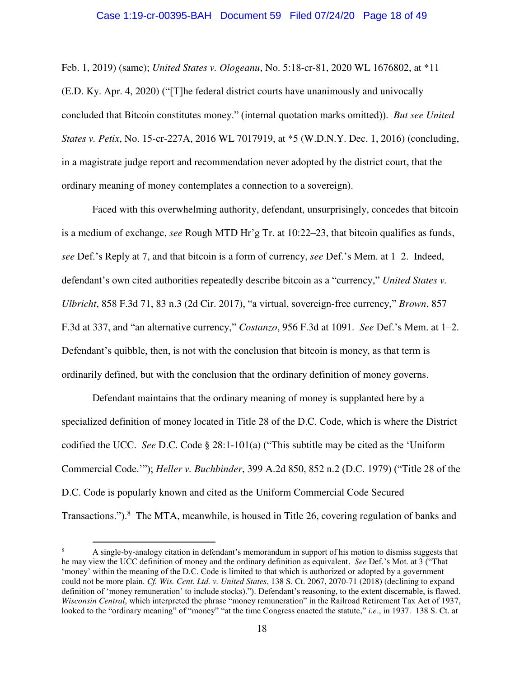## Case 1:19-cr-00395-BAH Document 59 Filed 07/24/20 Page 18 of 49

Feb. 1, 2019) (same); *United States v. Ologeanu*, No. 5:18-cr-81, 2020 WL 1676802, at \*11 (E.D. Ky. Apr. 4, 2020) ("[T]he federal district courts have unanimously and univocally concluded that Bitcoin constitutes money." (internal quotation marks omitted)). *But see United States v. Petix*, No. 15-cr-227A, 2016 WL 7017919, at \*5 (W.D.N.Y. Dec. 1, 2016) (concluding, in a magistrate judge report and recommendation never adopted by the district court, that the ordinary meaning of money contemplates a connection to a sovereign).

Faced with this overwhelming authority, defendant, unsurprisingly, concedes that bitcoin is a medium of exchange, *see* Rough MTD Hr'g Tr. at 10:22–23, that bitcoin qualifies as funds, *see* Def.'s Reply at 7, and that bitcoin is a form of currency, *see* Def.'s Mem. at 1–2. Indeed, defendant's own cited authorities repeatedly describe bitcoin as a "currency," *United States v. Ulbricht*, 858 F.3d 71, 83 n.3 (2d Cir. 2017), "a virtual, sovereign-free currency," *Brown*, 857 F.3d at 337, and "an alternative currency," *Costanzo*, 956 F.3d at 1091. *See* Def.'s Mem. at 1–2. Defendant's quibble, then, is not with the conclusion that bitcoin is money, as that term is ordinarily defined, but with the conclusion that the ordinary definition of money governs.

Defendant maintains that the ordinary meaning of money is supplanted here by a specialized definition of money located in Title 28 of the D.C. Code, which is where the District codified the UCC. *See* D.C. Code § 28:1-101(a) ("This subtitle may be cited as the 'Uniform Commercial Code.'"); *Heller v. Buchbinder*, 399 A.2d 850, 852 n.2 (D.C. 1979) ("Title 28 of the D.C. Code is popularly known and cited as the Uniform Commercial Code Secured Transactions.").<sup>8</sup> The MTA, meanwhile, is housed in Title 26, covering regulation of banks and

<sup>8</sup> A single-by-analogy citation in defendant's memorandum in support of his motion to dismiss suggests that he may view the UCC definition of money and the ordinary definition as equivalent. *See* Def.'s Mot. at 3 ("That 'money' within the meaning of the D.C. Code is limited to that which is authorized or adopted by a government could not be more plain. *Cf. Wis. Cent. Ltd. v. United States*, 138 S. Ct. 2067, 2070-71 (2018) (declining to expand definition of 'money remuneration' to include stocks)."). Defendant's reasoning, to the extent discernable, is flawed. *Wisconsin Central*, which interpreted the phrase "money remuneration" in the Railroad Retirement Tax Act of 1937, looked to the "ordinary meaning" of "money" "at the time Congress enacted the statute," *i.e.*, in 1937. 138 S. Ct. at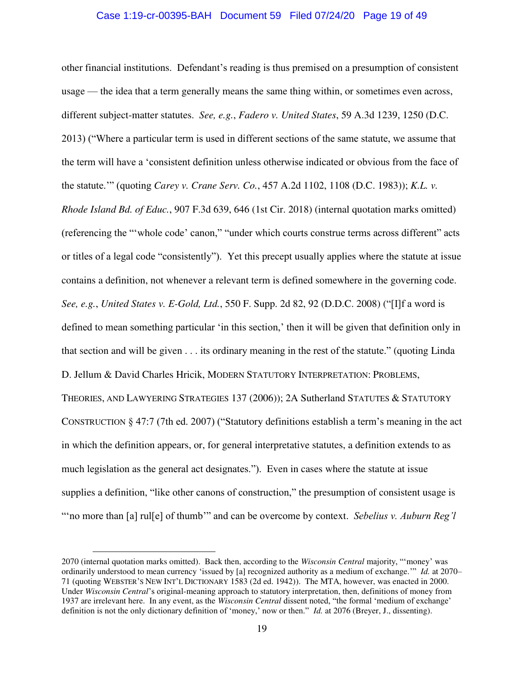# Case 1:19-cr-00395-BAH Document 59 Filed 07/24/20 Page 19 of 49

other financial institutions. Defendant's reading is thus premised on a presumption of consistent usage — the idea that a term generally means the same thing within, or sometimes even across, different subject-matter statutes. *See, e.g.*, *Fadero v. United States*, 59 A.3d 1239, 1250 (D.C. 2013) ("Where a particular term is used in different sections of the same statute, we assume that the term will have a 'consistent definition unless otherwise indicated or obvious from the face of the statute.'" (quoting *Carey v. Crane Serv. Co.*, 457 A.2d 1102, 1108 (D.C. 1983)); *K.L. v. Rhode Island Bd. of Educ.*, 907 F.3d 639, 646 (1st Cir. 2018) (internal quotation marks omitted) (referencing the "'whole code' canon," "under which courts construe terms across different" acts or titles of a legal code "consistently"). Yet this precept usually applies where the statute at issue contains a definition, not whenever a relevant term is defined somewhere in the governing code. *See, e.g.*, *United States v. E-Gold, Ltd.*, 550 F. Supp. 2d 82, 92 (D.D.C. 2008) ("[I]f a word is defined to mean something particular 'in this section,' then it will be given that definition only in that section and will be given . . . its ordinary meaning in the rest of the statute." (quoting Linda D. Jellum & David Charles Hricik, MODERN STATUTORY INTERPRETATION: PROBLEMS, THEORIES, AND LAWYERING STRATEGIES 137 (2006)); 2A Sutherland STATUTES & STATUTORY CONSTRUCTION § 47:7 (7th ed. 2007) ("Statutory definitions establish a term's meaning in the act in which the definition appears, or, for general interpretative statutes, a definition extends to as much legislation as the general act designates."). Even in cases where the statute at issue supplies a definition, "like other canons of construction," the presumption of consistent usage is "'no more than [a] rul[e] of thumb'" and can be overcome by context. *Sebelius v. Auburn Reg'l* 

<sup>2070 (</sup>internal quotation marks omitted). Back then, according to the *Wisconsin Central* majority, "'money' was ordinarily understood to mean currency 'issued by [a] recognized authority as a medium of exchange.'" *Id.* at 2070– 71 (quoting WEBSTER'S NEW INT'L DICTIONARY 1583 (2d ed. 1942)). The MTA, however, was enacted in 2000. Under *Wisconsin Central*'s original-meaning approach to statutory interpretation, then, definitions of money from 1937 are irrelevant here. In any event, as the *Wisconsin Central* dissent noted, "the formal 'medium of exchange' definition is not the only dictionary definition of 'money,' now or then." *Id.* at 2076 (Breyer, J., dissenting).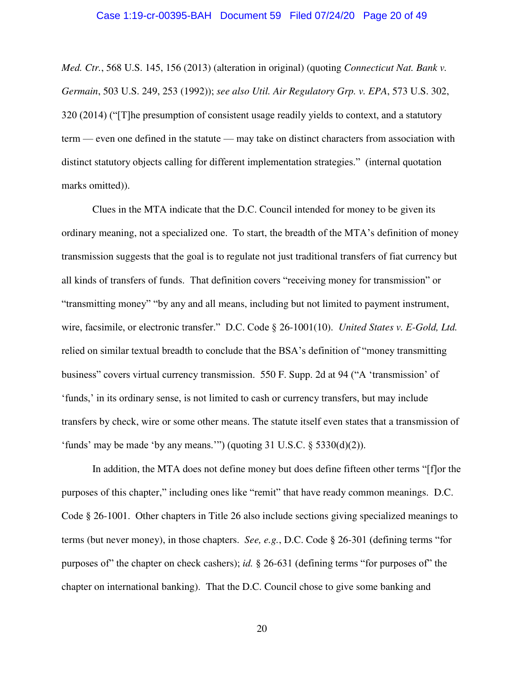#### Case 1:19-cr-00395-BAH Document 59 Filed 07/24/20 Page 20 of 49

*Med. Ctr.*, 568 U.S. 145, 156 (2013) (alteration in original) (quoting *Connecticut Nat. Bank v. Germain*, 503 U.S. 249, 253 (1992)); *see also Util. Air Regulatory Grp. v. EPA*, 573 U.S. 302, 320 (2014) ("[T]he presumption of consistent usage readily yields to context, and a statutory term — even one defined in the statute — may take on distinct characters from association with distinct statutory objects calling for different implementation strategies." (internal quotation marks omitted)).

Clues in the MTA indicate that the D.C. Council intended for money to be given its ordinary meaning, not a specialized one. To start, the breadth of the MTA's definition of money transmission suggests that the goal is to regulate not just traditional transfers of fiat currency but all kinds of transfers of funds. That definition covers "receiving money for transmission" or "transmitting money" "by any and all means, including but not limited to payment instrument, wire, facsimile, or electronic transfer." D.C. Code § 26-1001(10). *United States v. E-Gold, Ltd.*  relied on similar textual breadth to conclude that the BSA's definition of "money transmitting business" covers virtual currency transmission. 550 F. Supp. 2d at 94 ("A 'transmission' of 'funds,' in its ordinary sense, is not limited to cash or currency transfers, but may include transfers by check, wire or some other means. The statute itself even states that a transmission of 'funds' may be made 'by any means.'") (quoting 31 U.S.C. § 5330(d)(2)).

In addition, the MTA does not define money but does define fifteen other terms "[f]or the purposes of this chapter," including ones like "remit" that have ready common meanings. D.C. Code § 26-1001. Other chapters in Title 26 also include sections giving specialized meanings to terms (but never money), in those chapters. *See, e.g.*, D.C. Code § 26-301 (defining terms "for purposes of" the chapter on check cashers); *id.* § 26-631 (defining terms "for purposes of" the chapter on international banking). That the D.C. Council chose to give some banking and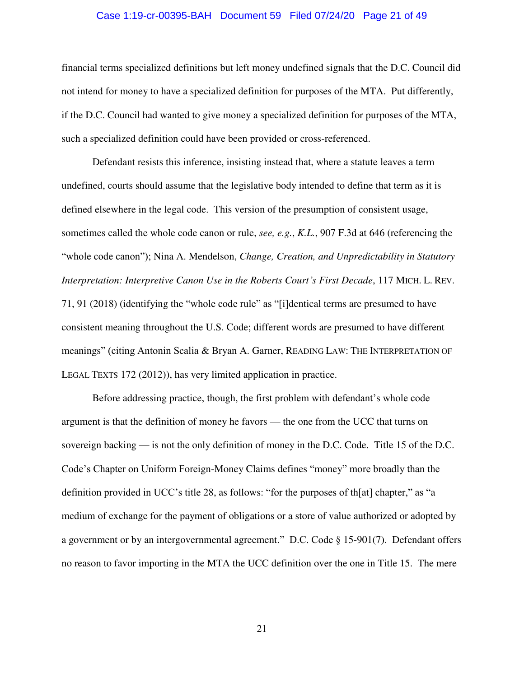# Case 1:19-cr-00395-BAH Document 59 Filed 07/24/20 Page 21 of 49

financial terms specialized definitions but left money undefined signals that the D.C. Council did not intend for money to have a specialized definition for purposes of the MTA. Put differently, if the D.C. Council had wanted to give money a specialized definition for purposes of the MTA, such a specialized definition could have been provided or cross-referenced.

Defendant resists this inference, insisting instead that, where a statute leaves a term undefined, courts should assume that the legislative body intended to define that term as it is defined elsewhere in the legal code. This version of the presumption of consistent usage, sometimes called the whole code canon or rule, *see, e.g.*, *K.L.*, 907 F.3d at 646 (referencing the "whole code canon"); Nina A. Mendelson, *Change, Creation, and Unpredictability in Statutory Interpretation: Interpretive Canon Use in the Roberts Court's First Decade*, 117 MICH. L. REV. 71, 91 (2018) (identifying the "whole code rule" as "[i]dentical terms are presumed to have consistent meaning throughout the U.S. Code; different words are presumed to have different meanings" (citing Antonin Scalia & Bryan A. Garner, READING LAW: THE INTERPRETATION OF LEGAL TEXTS 172 (2012)), has very limited application in practice.

Before addressing practice, though, the first problem with defendant's whole code argument is that the definition of money he favors — the one from the UCC that turns on sovereign backing — is not the only definition of money in the D.C. Code. Title 15 of the D.C. Code's Chapter on Uniform Foreign-Money Claims defines "money" more broadly than the definition provided in UCC's title 28, as follows: "for the purposes of th[at] chapter," as "a medium of exchange for the payment of obligations or a store of value authorized or adopted by a government or by an intergovernmental agreement." D.C. Code § 15-901(7). Defendant offers no reason to favor importing in the MTA the UCC definition over the one in Title 15. The mere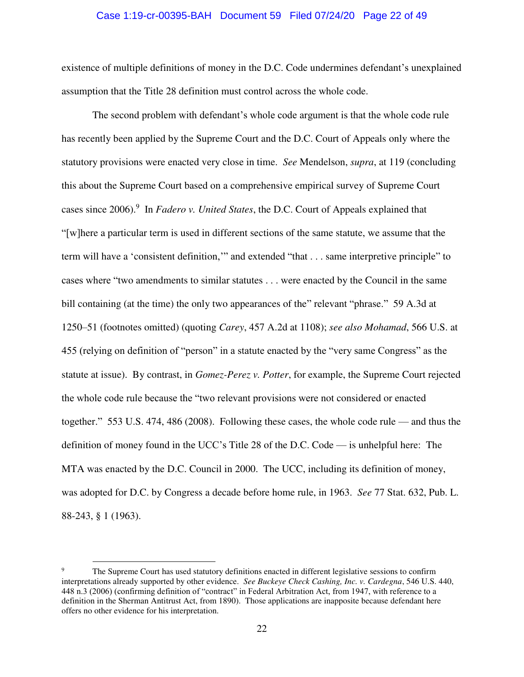# Case 1:19-cr-00395-BAH Document 59 Filed 07/24/20 Page 22 of 49

existence of multiple definitions of money in the D.C. Code undermines defendant's unexplained assumption that the Title 28 definition must control across the whole code.

The second problem with defendant's whole code argument is that the whole code rule has recently been applied by the Supreme Court and the D.C. Court of Appeals only where the statutory provisions were enacted very close in time. *See* Mendelson, *supra*, at 119 (concluding this about the Supreme Court based on a comprehensive empirical survey of Supreme Court cases since 2006).<sup>9</sup> In *Fadero v. United States*, the D.C. Court of Appeals explained that "[w]here a particular term is used in different sections of the same statute, we assume that the term will have a 'consistent definition,'" and extended "that . . . same interpretive principle" to cases where "two amendments to similar statutes . . . were enacted by the Council in the same bill containing (at the time) the only two appearances of the" relevant "phrase." 59 A.3d at 1250–51 (footnotes omitted) (quoting *Carey*, 457 A.2d at 1108); *see also Mohamad*, 566 U.S. at 455 (relying on definition of "person" in a statute enacted by the "very same Congress" as the statute at issue). By contrast, in *Gomez-Perez v. Potter*, for example, the Supreme Court rejected the whole code rule because the "two relevant provisions were not considered or enacted together." 553 U.S. 474, 486 (2008). Following these cases, the whole code rule — and thus the definition of money found in the UCC's Title 28 of the D.C. Code — is unhelpful here: The MTA was enacted by the D.C. Council in 2000. The UCC, including its definition of money, was adopted for D.C. by Congress a decade before home rule, in 1963. *See* 77 Stat. 632, Pub. L. 88-243, § 1 (1963).

<sup>9</sup> The Supreme Court has used statutory definitions enacted in different legislative sessions to confirm interpretations already supported by other evidence. *See Buckeye Check Cashing, Inc. v. Cardegna*, 546 U.S. 440, 448 n.3 (2006) (confirming definition of "contract" in Federal Arbitration Act, from 1947, with reference to a definition in the Sherman Antitrust Act, from 1890). Those applications are inapposite because defendant here offers no other evidence for his interpretation.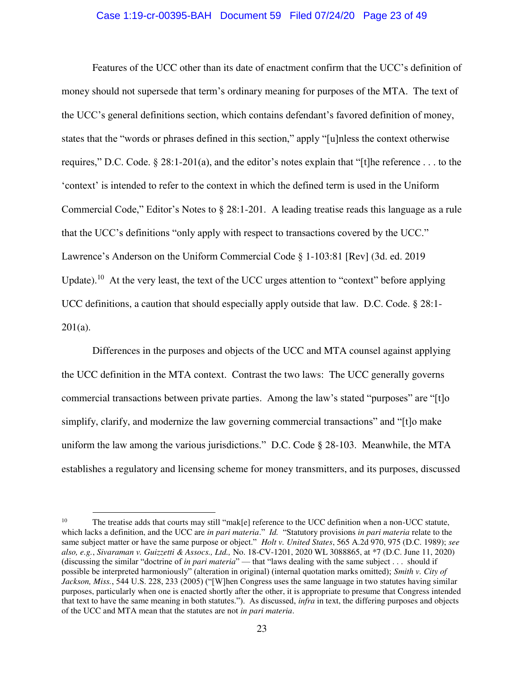# Case 1:19-cr-00395-BAH Document 59 Filed 07/24/20 Page 23 of 49

Features of the UCC other than its date of enactment confirm that the UCC's definition of money should not supersede that term's ordinary meaning for purposes of the MTA. The text of the UCC's general definitions section, which contains defendant's favored definition of money, states that the "words or phrases defined in this section," apply "[u]nless the context otherwise requires," D.C. Code.  $\S 28:1-201(a)$ , and the editor's notes explain that "[t]he reference ... to the 'context' is intended to refer to the context in which the defined term is used in the Uniform Commercial Code," Editor's Notes to § 28:1-201. A leading treatise reads this language as a rule that the UCC's definitions "only apply with respect to transactions covered by the UCC." Lawrence's Anderson on the Uniform Commercial Code § 1-103:81 [Rev] (3d. ed. 2019 Update).<sup>10</sup> At the very least, the text of the UCC urges attention to "context" before applying UCC definitions, a caution that should especially apply outside that law. D.C. Code. § 28:1- 201(a).

Differences in the purposes and objects of the UCC and MTA counsel against applying the UCC definition in the MTA context. Contrast the two laws: The UCC generally governs commercial transactions between private parties. Among the law's stated "purposes" are "[t]o simplify, clarify, and modernize the law governing commercial transactions" and "[t]o make uniform the law among the various jurisdictions." D.C. Code § 28-103. Meanwhile, the MTA establishes a regulatory and licensing scheme for money transmitters, and its purposes, discussed

<sup>&</sup>lt;sup>10</sup> The treatise adds that courts may still "mak[e] reference to the UCC definition when a non-UCC statute, which lacks a definition, and the UCC are *in pari materia*." *Id.* "Statutory provisions *in pari materia* relate to the same subject matter or have the same purpose or object." *Holt v. United States*, 565 A.2d 970, 975 (D.C. 1989); *see also, e.g.*, *Sivaraman v. Guizzetti & Assocs., Ltd.,* No. 18-CV-1201, 2020 WL 3088865, at \*7 (D.C. June 11, 2020) (discussing the similar "doctrine of *in pari materia*" — that "laws dealing with the same subject . . . should if possible be interpreted harmoniously" (alteration in original) (internal quotation marks omitted); *Smith v. City of Jackson, Miss.*, 544 U.S. 228, 233 (2005) ("[W]hen Congress uses the same language in two statutes having similar purposes, particularly when one is enacted shortly after the other, it is appropriate to presume that Congress intended that text to have the same meaning in both statutes."). As discussed, *infra* in text, the differing purposes and objects of the UCC and MTA mean that the statutes are not *in pari materia*.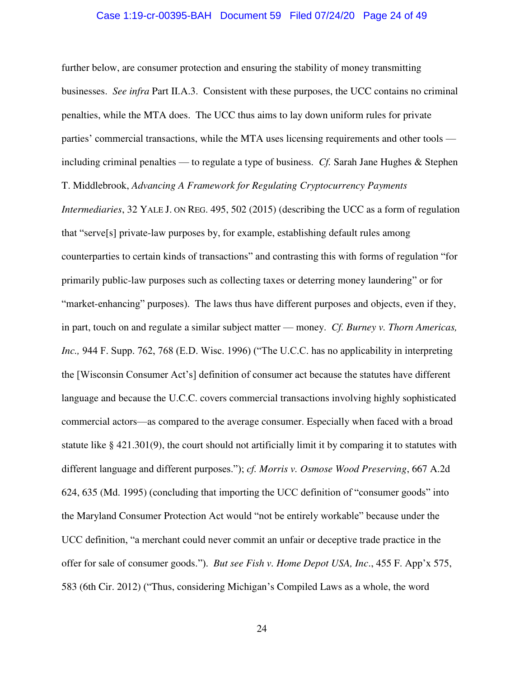## Case 1:19-cr-00395-BAH Document 59 Filed 07/24/20 Page 24 of 49

further below, are consumer protection and ensuring the stability of money transmitting businesses. *See infra* Part II.A.3. Consistent with these purposes, the UCC contains no criminal penalties, while the MTA does. The UCC thus aims to lay down uniform rules for private parties' commercial transactions, while the MTA uses licensing requirements and other tools including criminal penalties — to regulate a type of business. *Cf.* Sarah Jane Hughes & Stephen T. Middlebrook, *Advancing A Framework for Regulating Cryptocurrency Payments* 

*Intermediaries*, 32 YALE J. ON REG. 495, 502 (2015) (describing the UCC as a form of regulation that "serve[s] private-law purposes by, for example, establishing default rules among counterparties to certain kinds of transactions" and contrasting this with forms of regulation "for primarily public-law purposes such as collecting taxes or deterring money laundering" or for "market-enhancing" purposes). The laws thus have different purposes and objects, even if they, in part, touch on and regulate a similar subject matter — money. *Cf. Burney v. Thorn Americas, Inc.,* 944 F. Supp. 762, 768 (E.D. Wisc. 1996) ("The U.C.C. has no applicability in interpreting the [Wisconsin Consumer Act's] definition of consumer act because the statutes have different language and because the U.C.C. covers commercial transactions involving highly sophisticated commercial actors—as compared to the average consumer. Especially when faced with a broad statute like § 421.301(9), the court should not artificially limit it by comparing it to statutes with different language and different purposes."); *cf. Morris v. Osmose Wood Preserving*, 667 A.2d 624, 635 (Md. 1995) (concluding that importing the UCC definition of "consumer goods" into the Maryland Consumer Protection Act would "not be entirely workable" because under the UCC definition, "a merchant could never commit an unfair or deceptive trade practice in the offer for sale of consumer goods."). *But see Fish v. Home Depot USA, Inc*., 455 F. App'x 575, 583 (6th Cir. 2012) ("Thus, considering Michigan's Compiled Laws as a whole, the word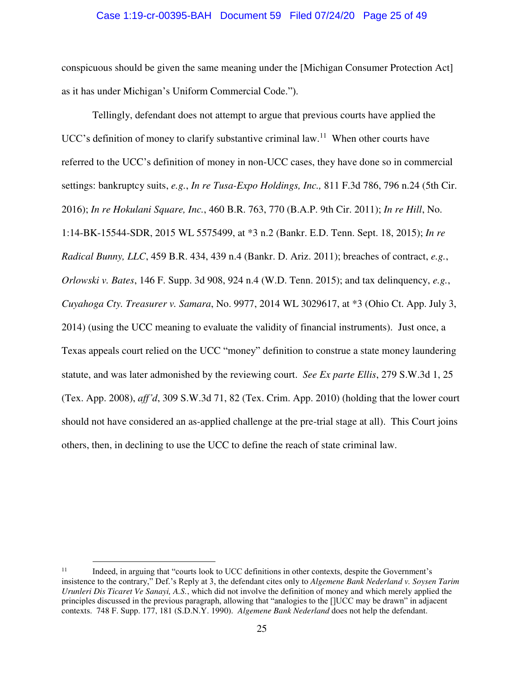## Case 1:19-cr-00395-BAH Document 59 Filed 07/24/20 Page 25 of 49

conspicuous should be given the same meaning under the [Michigan Consumer Protection Act] as it has under Michigan's Uniform Commercial Code.").

Tellingly, defendant does not attempt to argue that previous courts have applied the UCC's definition of money to clarify substantive criminal law.<sup>11</sup> When other courts have referred to the UCC's definition of money in non-UCC cases, they have done so in commercial settings: bankruptcy suits, *e.g.*, *In re Tusa-Expo Holdings, Inc.,* 811 F.3d 786, 796 n.24 (5th Cir. 2016); *In re Hokulani Square, Inc.*, 460 B.R. 763, 770 (B.A.P. 9th Cir. 2011); *In re Hill*, No. 1:14-BK-15544-SDR, 2015 WL 5575499, at \*3 n.2 (Bankr. E.D. Tenn. Sept. 18, 2015); *In re Radical Bunny, LLC*, 459 B.R. 434, 439 n.4 (Bankr. D. Ariz. 2011); breaches of contract, *e.g.*, *Orlowski v. Bates*, 146 F. Supp. 3d 908, 924 n.4 (W.D. Tenn. 2015); and tax delinquency, *e.g.*, *Cuyahoga Cty. Treasurer v. Samara*, No. 9977, 2014 WL 3029617, at \*3 (Ohio Ct. App. July 3, 2014) (using the UCC meaning to evaluate the validity of financial instruments). Just once, a Texas appeals court relied on the UCC "money" definition to construe a state money laundering statute, and was later admonished by the reviewing court. *See Ex parte Ellis*, 279 S.W.3d 1, 25 (Tex. App. 2008), *aff'd*, 309 S.W.3d 71, 82 (Tex. Crim. App. 2010) (holding that the lower court should not have considered an as-applied challenge at the pre-trial stage at all). This Court joins others, then, in declining to use the UCC to define the reach of state criminal law.

<sup>11</sup> Indeed, in arguing that "courts look to UCC definitions in other contexts, despite the Government's insistence to the contrary," Def.'s Reply at 3, the defendant cites only to *Algemene Bank Nederland v. Soysen Tarim Urunleri Dis Ticaret Ve Sanayi, A.S.*, which did not involve the definition of money and which merely applied the principles discussed in the previous paragraph, allowing that "analogies to the []UCC may be drawn" in adjacent contexts. 748 F. Supp. 177, 181 (S.D.N.Y. 1990). *Algemene Bank Nederland* does not help the defendant.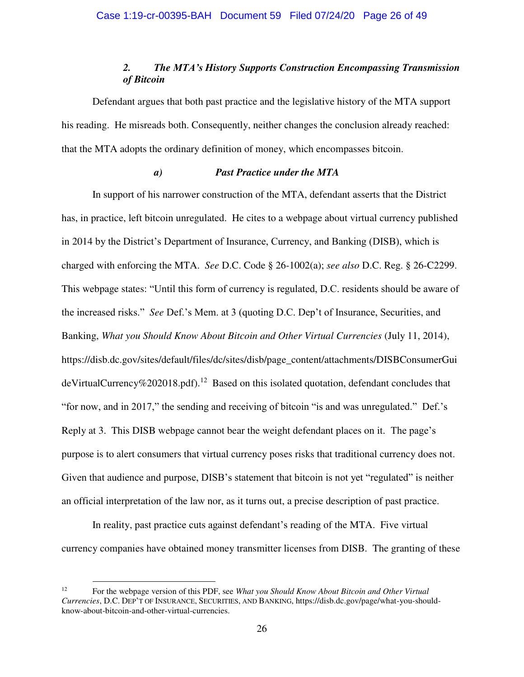# *2. The MTA's History Supports Construction Encompassing Transmission of Bitcoin*

Defendant argues that both past practice and the legislative history of the MTA support his reading. He misreads both. Consequently, neither changes the conclusion already reached: that the MTA adopts the ordinary definition of money, which encompasses bitcoin.

# *a) Past Practice under the MTA*

In support of his narrower construction of the MTA, defendant asserts that the District has, in practice, left bitcoin unregulated. He cites to a webpage about virtual currency published in 2014 by the District's Department of Insurance, Currency, and Banking (DISB), which is charged with enforcing the MTA. *See* D.C. Code § 26-1002(a); *see also* D.C. Reg. § 26-C2299. This webpage states: "Until this form of currency is regulated, D.C. residents should be aware of the increased risks." *See* Def.'s Mem. at 3 (quoting D.C. Dep't of Insurance, Securities, and Banking, *What you Should Know About Bitcoin and Other Virtual Currencies* (July 11, 2014), https://disb.dc.gov/sites/default/files/dc/sites/disb/page\_content/attachments/DISBConsumerGui  $deVirtualCurrentov%202018.pdf$ .<sup>12</sup> Based on this isolated quotation, defendant concludes that "for now, and in 2017," the sending and receiving of bitcoin "is and was unregulated." Def.'s Reply at 3. This DISB webpage cannot bear the weight defendant places on it. The page's purpose is to alert consumers that virtual currency poses risks that traditional currency does not. Given that audience and purpose, DISB's statement that bitcoin is not yet "regulated" is neither an official interpretation of the law nor, as it turns out, a precise description of past practice.

In reality, past practice cuts against defendant's reading of the MTA. Five virtual currency companies have obtained money transmitter licenses from DISB. The granting of these

<sup>12</sup> For the webpage version of this PDF, see *What you Should Know About Bitcoin and Other Virtual Currencies*, D.C. DEP'T OF INSURANCE, SECURITIES, AND BANKING, https://disb.dc.gov/page/what-you-shouldknow-about-bitcoin-and-other-virtual-currencies.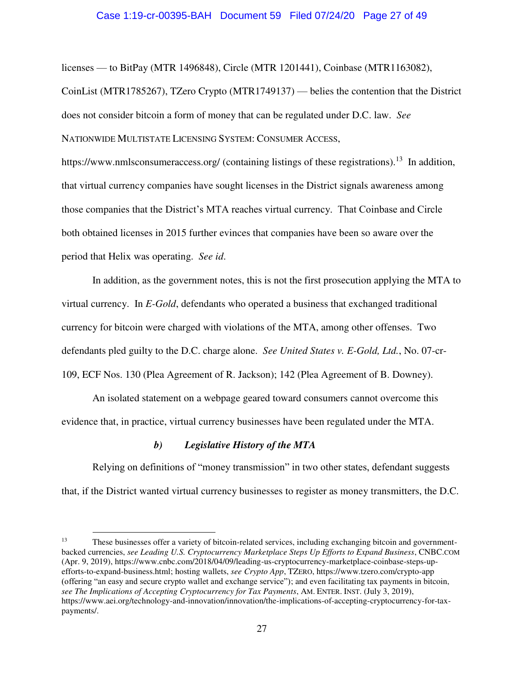### Case 1:19-cr-00395-BAH Document 59 Filed 07/24/20 Page 27 of 49

licenses — to BitPay (MTR 1496848), Circle (MTR 1201441), Coinbase (MTR1163082),

CoinList (MTR1785267), TZero Crypto (MTR1749137) — belies the contention that the District does not consider bitcoin a form of money that can be regulated under D.C. law. *See*  NATIONWIDE MULTISTATE LICENSING SYSTEM: CONSUMER ACCESS,

https://www.nmlsconsumeraccess.org/ (containing listings of these registrations).<sup>13</sup> In addition, that virtual currency companies have sought licenses in the District signals awareness among those companies that the District's MTA reaches virtual currency. That Coinbase and Circle both obtained licenses in 2015 further evinces that companies have been so aware over the period that Helix was operating. *See id*.

In addition, as the government notes, this is not the first prosecution applying the MTA to virtual currency. In *E-Gold*, defendants who operated a business that exchanged traditional currency for bitcoin were charged with violations of the MTA, among other offenses. Two defendants pled guilty to the D.C. charge alone. *See United States v. E-Gold, Ltd.*, No. 07-cr-109, ECF Nos. 130 (Plea Agreement of R. Jackson); 142 (Plea Agreement of B. Downey).

An isolated statement on a webpage geared toward consumers cannot overcome this evidence that, in practice, virtual currency businesses have been regulated under the MTA.

# *b) Legislative History of the MTA*

 $\overline{a}$ 

Relying on definitions of "money transmission" in two other states, defendant suggests that, if the District wanted virtual currency businesses to register as money transmitters, the D.C.

<sup>13</sup> These businesses offer a variety of bitcoin-related services, including exchanging bitcoin and governmentbacked currencies, *see Leading U.S. Cryptocurrency Marketplace Steps Up Efforts to Expand Business*, CNBC.COM (Apr. 9, 2019), https://www.cnbc.com/2018/04/09/leading-us-cryptocurrency-marketplace-coinbase-steps-upefforts-to-expand-business.html; hosting wallets, *see Crypto App*, TZERO, https://www.tzero.com/crypto-app (offering "an easy and secure crypto wallet and exchange service"); and even facilitating tax payments in bitcoin, *see The Implications of Accepting Cryptocurrency for Tax Payments*, AM. ENTER. INST. (July 3, 2019), https://www.aei.org/technology-and-innovation/innovation/the-implications-of-accepting-cryptocurrency-for-taxpayments/.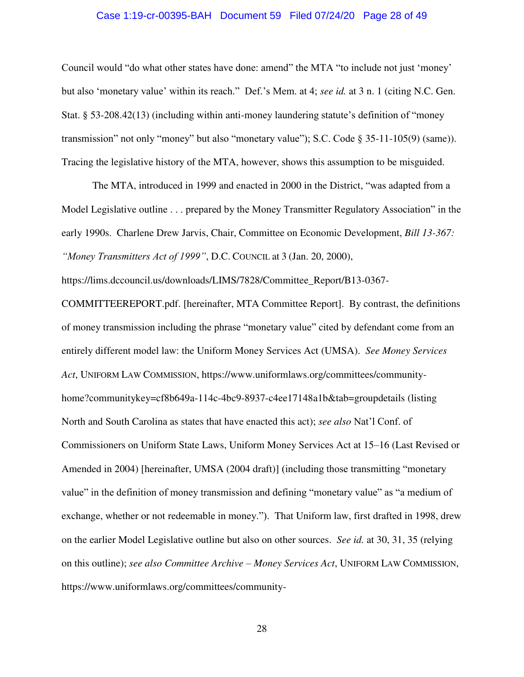# Case 1:19-cr-00395-BAH Document 59 Filed 07/24/20 Page 28 of 49

Council would "do what other states have done: amend" the MTA "to include not just 'money' but also 'monetary value' within its reach." Def.'s Mem. at 4; *see id.* at 3 n. 1 (citing N.C. Gen. Stat. § 53-208.42(13) (including within anti-money laundering statute's definition of "money transmission" not only "money" but also "monetary value"); S.C. Code § 35-11-105(9) (same)). Tracing the legislative history of the MTA, however, shows this assumption to be misguided.

The MTA, introduced in 1999 and enacted in 2000 in the District, "was adapted from a Model Legislative outline . . . prepared by the Money Transmitter Regulatory Association" in the early 1990s. Charlene Drew Jarvis, Chair, Committee on Economic Development, *Bill 13-367: "Money Transmitters Act of 1999"*, D.C. COUNCIL at 3 (Jan. 20, 2000),

https://lims.dccouncil.us/downloads/LIMS/7828/Committee\_Report/B13-0367-

COMMITTEEREPORT.pdf. [hereinafter, MTA Committee Report]. By contrast, the definitions of money transmission including the phrase "monetary value" cited by defendant come from an entirely different model law: the Uniform Money Services Act (UMSA). *See Money Services Act*, UNIFORM LAW COMMISSION, https://www.uniformlaws.org/committees/communityhome?communitykey=cf8b649a-114c-4bc9-8937-c4ee17148a1b&tab=groupdetails (listing North and South Carolina as states that have enacted this act); *see also* Nat'l Conf. of Commissioners on Uniform State Laws, Uniform Money Services Act at 15–16 (Last Revised or Amended in 2004) [hereinafter, UMSA (2004 draft)] (including those transmitting "monetary value" in the definition of money transmission and defining "monetary value" as "a medium of exchange, whether or not redeemable in money."). That Uniform law, first drafted in 1998, drew on the earlier Model Legislative outline but also on other sources. *See id.* at 30, 31, 35 (relying on this outline); *see also Committee Archive – Money Services Act*, UNIFORM LAW COMMISSION, https://www.uniformlaws.org/committees/community-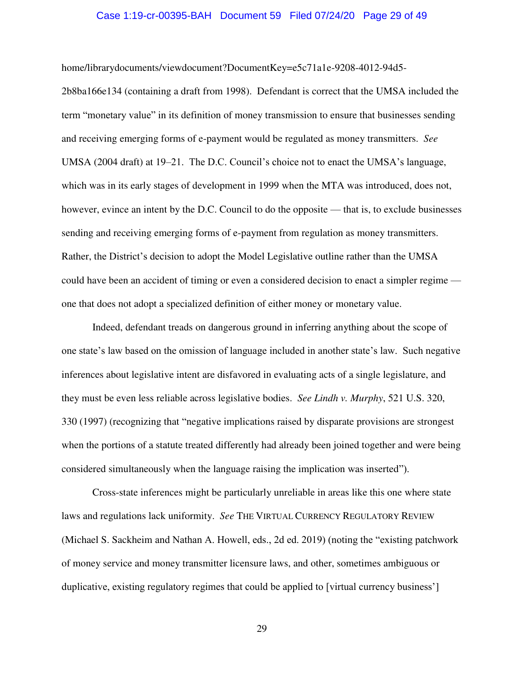### Case 1:19-cr-00395-BAH Document 59 Filed 07/24/20 Page 29 of 49

home/librarydocuments/viewdocument?DocumentKey=e5c71a1e-9208-4012-94d5-

2b8ba166e134 (containing a draft from 1998). Defendant is correct that the UMSA included the term "monetary value" in its definition of money transmission to ensure that businesses sending and receiving emerging forms of e-payment would be regulated as money transmitters. *See* UMSA (2004 draft) at 19–21. The D.C. Council's choice not to enact the UMSA's language, which was in its early stages of development in 1999 when the MTA was introduced, does not, however, evince an intent by the D.C. Council to do the opposite — that is, to exclude businesses sending and receiving emerging forms of e-payment from regulation as money transmitters. Rather, the District's decision to adopt the Model Legislative outline rather than the UMSA could have been an accident of timing or even a considered decision to enact a simpler regime one that does not adopt a specialized definition of either money or monetary value.

Indeed, defendant treads on dangerous ground in inferring anything about the scope of one state's law based on the omission of language included in another state's law. Such negative inferences about legislative intent are disfavored in evaluating acts of a single legislature, and they must be even less reliable across legislative bodies. *See Lindh v. Murphy*, 521 U.S. 320, 330 (1997) (recognizing that "negative implications raised by disparate provisions are strongest when the portions of a statute treated differently had already been joined together and were being considered simultaneously when the language raising the implication was inserted").

Cross-state inferences might be particularly unreliable in areas like this one where state laws and regulations lack uniformity. *See* THE VIRTUAL CURRENCY REGULATORY REVIEW (Michael S. Sackheim and Nathan A. Howell, eds., 2d ed. 2019) (noting the "existing patchwork of money service and money transmitter licensure laws, and other, sometimes ambiguous or duplicative, existing regulatory regimes that could be applied to [virtual currency business']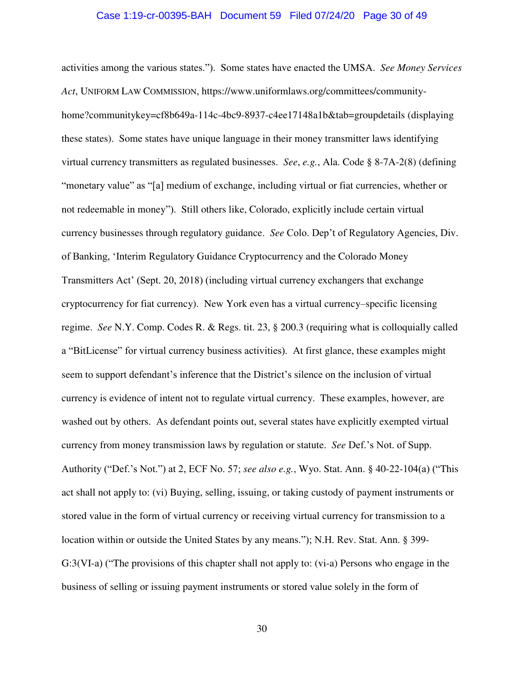### Case 1:19-cr-00395-BAH Document 59 Filed 07/24/20 Page 30 of 49

activities among the various states."). Some states have enacted the UMSA. *See Money Services Act*, UNIFORM LAW COMMISSION, https://www.uniformlaws.org/committees/communityhome?communitykey=cf8b649a-114c-4bc9-8937-c4ee17148a1b&tab=groupdetails (displaying these states). Some states have unique language in their money transmitter laws identifying virtual currency transmitters as regulated businesses. *See*, *e.g.*, Ala. Code § 8-7A-2(8) (defining "monetary value" as "[a] medium of exchange, including virtual or fiat currencies, whether or not redeemable in money"). Still others like, Colorado, explicitly include certain virtual currency businesses through regulatory guidance. *See* Colo. Dep't of Regulatory Agencies, Div. of Banking, 'Interim Regulatory Guidance Cryptocurrency and the Colorado Money Transmitters Act' (Sept. 20, 2018) (including virtual currency exchangers that exchange cryptocurrency for fiat currency). New York even has a virtual currency–specific licensing regime. *See* N.Y. Comp. Codes R. & Regs. tit. 23, § 200.3 (requiring what is colloquially called a "BitLicense" for virtual currency business activities). At first glance, these examples might seem to support defendant's inference that the District's silence on the inclusion of virtual currency is evidence of intent not to regulate virtual currency. These examples, however, are washed out by others. As defendant points out, several states have explicitly exempted virtual currency from money transmission laws by regulation or statute. *See* Def.'s Not. of Supp. Authority ("Def.'s Not.") at 2, ECF No. 57; *see also e.g.*, Wyo. Stat. Ann. § 40-22-104(a) ("This act shall not apply to: (vi) Buying, selling, issuing, or taking custody of payment instruments or stored value in the form of virtual currency or receiving virtual currency for transmission to a location within or outside the United States by any means."); N.H. Rev. Stat. Ann. § 399- G:3(VI-a) ("The provisions of this chapter shall not apply to: (vi-a) Persons who engage in the business of selling or issuing payment instruments or stored value solely in the form of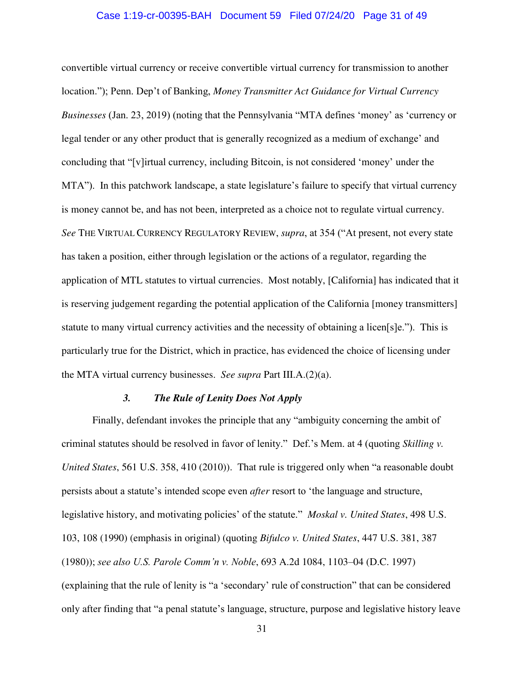# Case 1:19-cr-00395-BAH Document 59 Filed 07/24/20 Page 31 of 49

convertible virtual currency or receive convertible virtual currency for transmission to another location."); Penn. Dep't of Banking, *Money Transmitter Act Guidance for Virtual Currency Businesses* (Jan. 23, 2019) (noting that the Pennsylvania "MTA defines 'money' as 'currency or legal tender or any other product that is generally recognized as a medium of exchange' and concluding that "[v]irtual currency, including Bitcoin, is not considered 'money' under the MTA"). In this patchwork landscape, a state legislature's failure to specify that virtual currency is money cannot be, and has not been, interpreted as a choice not to regulate virtual currency. *See* THE VIRTUAL CURRENCY REGULATORY REVIEW, *supra*, at 354 ("At present, not every state has taken a position, either through legislation or the actions of a regulator, regarding the application of MTL statutes to virtual currencies. Most notably, [California] has indicated that it is reserving judgement regarding the potential application of the California [money transmitters] statute to many virtual currency activities and the necessity of obtaining a licen[s]e."). This is particularly true for the District, which in practice, has evidenced the choice of licensing under the MTA virtual currency businesses. *See supra* Part III.A.(2)(a).

# *3. The Rule of Lenity Does Not Apply*

Finally, defendant invokes the principle that any "ambiguity concerning the ambit of criminal statutes should be resolved in favor of lenity." Def.'s Mem. at 4 (quoting *Skilling v. United States*, 561 U.S. 358, 410 (2010)). That rule is triggered only when "a reasonable doubt persists about a statute's intended scope even *after* resort to 'the language and structure, legislative history, and motivating policies' of the statute." *Moskal v. United States*, 498 U.S. 103, 108 (1990) (emphasis in original) (quoting *Bifulco v. United States*, 447 U.S. 381, 387 (1980)); *see also U.S. Parole Comm'n v. Noble*, 693 A.2d 1084, 1103–04 (D.C. 1997) (explaining that the rule of lenity is "a 'secondary' rule of construction" that can be considered only after finding that "a penal statute's language, structure, purpose and legislative history leave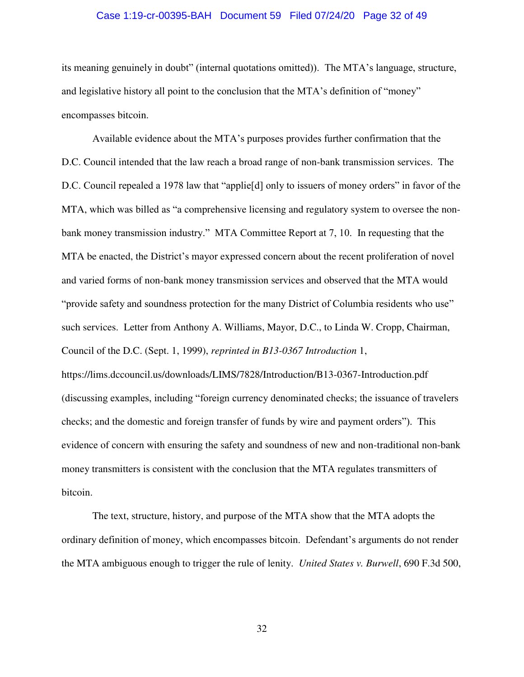### Case 1:19-cr-00395-BAH Document 59 Filed 07/24/20 Page 32 of 49

its meaning genuinely in doubt" (internal quotations omitted)). The MTA's language, structure, and legislative history all point to the conclusion that the MTA's definition of "money" encompasses bitcoin.

Available evidence about the MTA's purposes provides further confirmation that the D.C. Council intended that the law reach a broad range of non-bank transmission services. The D.C. Council repealed a 1978 law that "applie<sup>[d]</sup> only to issuers of money orders" in favor of the MTA, which was billed as "a comprehensive licensing and regulatory system to oversee the nonbank money transmission industry." MTA Committee Report at 7, 10. In requesting that the MTA be enacted, the District's mayor expressed concern about the recent proliferation of novel and varied forms of non-bank money transmission services and observed that the MTA would "provide safety and soundness protection for the many District of Columbia residents who use" such services. Letter from Anthony A. Williams, Mayor, D.C., to Linda W. Cropp, Chairman, Council of the D.C. (Sept. 1, 1999), *reprinted in B13-0367 Introduction* 1, https://lims.dccouncil.us/downloads/LIMS/7828/Introduction/B13-0367-Introduction.pdf (discussing examples, including "foreign currency denominated checks; the issuance of travelers checks; and the domestic and foreign transfer of funds by wire and payment orders"). This evidence of concern with ensuring the safety and soundness of new and non-traditional non-bank money transmitters is consistent with the conclusion that the MTA regulates transmitters of bitcoin.

The text, structure, history, and purpose of the MTA show that the MTA adopts the ordinary definition of money, which encompasses bitcoin. Defendant's arguments do not render the MTA ambiguous enough to trigger the rule of lenity. *United States v. Burwell*, 690 F.3d 500,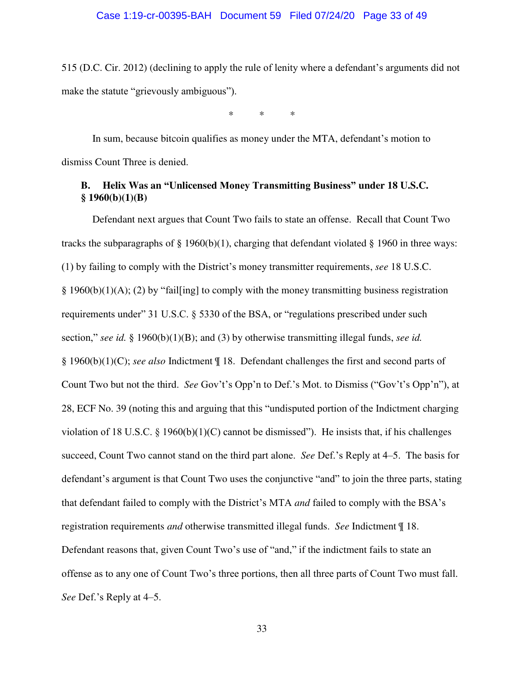515 (D.C. Cir. 2012) (declining to apply the rule of lenity where a defendant's arguments did not make the statute "grievously ambiguous").

\* \* \*

In sum, because bitcoin qualifies as money under the MTA, defendant's motion to dismiss Count Three is denied.

# **B. Helix Was an "Unlicensed Money Transmitting Business" under 18 U.S.C. § 1960(b)(1)(B)**

Defendant next argues that Count Two fails to state an offense. Recall that Count Two tracks the subparagraphs of § 1960(b)(1), charging that defendant violated § 1960 in three ways: (1) by failing to comply with the District's money transmitter requirements, *see* 18 U.S.C.  $§$  1960(b)(1)(A); (2) by "fail[ing] to comply with the money transmitting business registration requirements under" 31 U.S.C. § 5330 of the BSA, or "regulations prescribed under such section," *see id.* § 1960(b)(1)(B); and (3) by otherwise transmitting illegal funds, *see id.*  § 1960(b)(1)(C); *see also* Indictment ¶ 18. Defendant challenges the first and second parts of Count Two but not the third. *See* Gov't's Opp'n to Def.'s Mot. to Dismiss ("Gov't's Opp'n"), at 28, ECF No. 39 (noting this and arguing that this "undisputed portion of the Indictment charging violation of 18 U.S.C. § 1960(b)(1)(C) cannot be dismissed"). He insists that, if his challenges succeed, Count Two cannot stand on the third part alone. *See* Def.'s Reply at 4–5. The basis for defendant's argument is that Count Two uses the conjunctive "and" to join the three parts, stating that defendant failed to comply with the District's MTA *and* failed to comply with the BSA's registration requirements *and* otherwise transmitted illegal funds. *See* Indictment ¶ 18. Defendant reasons that, given Count Two's use of "and," if the indictment fails to state an offense as to any one of Count Two's three portions, then all three parts of Count Two must fall. *See* Def.'s Reply at 4–5.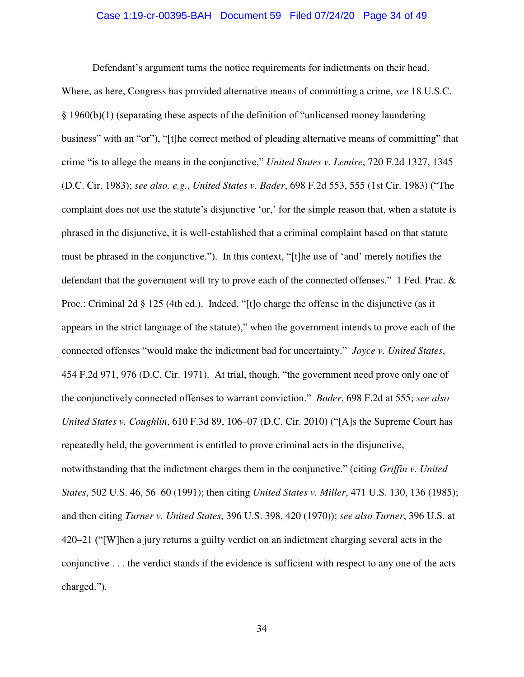# Case 1:19-cr-00395-BAH Document 59 Filed 07/24/20 Page 34 of 49

Defendant's argument turns the notice requirements for indictments on their head. Where, as here, Congress has provided alternative means of committing a crime, *see* 18 U.S.C. § 1960(b)(1) (separating these aspects of the definition of "unlicensed money laundering business" with an "or"), "[t]he correct method of pleading alternative means of committing" that crime "is to allege the means in the conjunctive," *United States v. Lemire*, 720 F.2d 1327, 1345 (D.C. Cir. 1983); *see also, e.g.*, *United States v. Bader*, 698 F.2d 553, 555 (1st Cir. 1983) ("The complaint does not use the statute's disjunctive 'or,' for the simple reason that, when a statute is phrased in the disjunctive, it is well-established that a criminal complaint based on that statute must be phrased in the conjunctive."). In this context, "[t]he use of 'and' merely notifies the defendant that the government will try to prove each of the connected offenses." 1 Fed. Prac. & Proc.: Criminal 2d § 125 (4th ed.). Indeed, "[t]o charge the offense in the disjunctive (as it appears in the strict language of the statute)," when the government intends to prove each of the connected offenses "would make the indictment bad for uncertainty." *Joyce v. United States*, 454 F.2d 971, 976 (D.C. Cir. 1971). At trial, though, "the government need prove only one of the conjunctively connected offenses to warrant conviction." *Bader*, 698 F.2d at 555; *see also United States v. Coughlin*, 610 F.3d 89, 106–07 (D.C. Cir. 2010) ("[A]s the Supreme Court has repeatedly held, the government is entitled to prove criminal acts in the disjunctive, notwithstanding that the indictment charges them in the conjunctive." (citing *Griffin v. United States*, 502 U.S. 46, 56–60 (1991); then citing *United States v. Miller*, 471 U.S. 130, 136 (1985); and then citing *Turner v. United States*, 396 U.S. 398, 420 (1970)); *see also Turner*, 396 U.S. at 420–21 ("[W]hen a jury returns a guilty verdict on an indictment charging several acts in the conjunctive . . . the verdict stands if the evidence is sufficient with respect to any one of the acts charged.").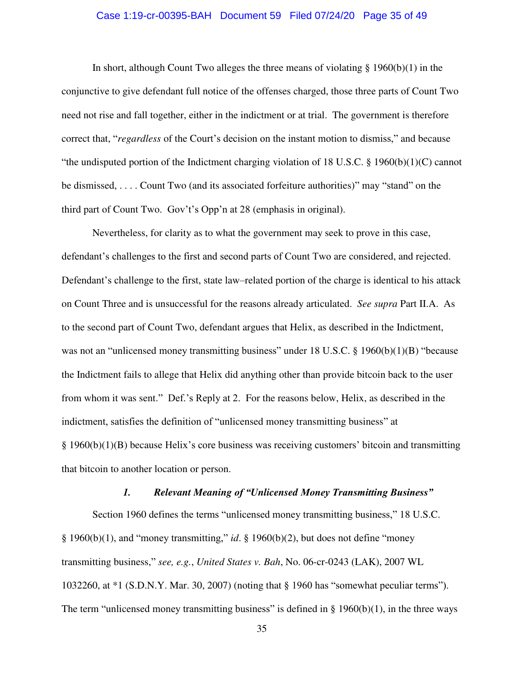# Case 1:19-cr-00395-BAH Document 59 Filed 07/24/20 Page 35 of 49

In short, although Count Two alleges the three means of violating § 1960(b)(1) in the conjunctive to give defendant full notice of the offenses charged, those three parts of Count Two need not rise and fall together, either in the indictment or at trial. The government is therefore correct that, "*regardless* of the Court's decision on the instant motion to dismiss," and because "the undisputed portion of the Indictment charging violation of 18 U.S.C. § 1960(b)(1)(C) cannot be dismissed, . . . . Count Two (and its associated forfeiture authorities)" may "stand" on the third part of Count Two. Gov't's Opp'n at 28 (emphasis in original).

Nevertheless, for clarity as to what the government may seek to prove in this case, defendant's challenges to the first and second parts of Count Two are considered, and rejected. Defendant's challenge to the first, state law–related portion of the charge is identical to his attack on Count Three and is unsuccessful for the reasons already articulated. *See supra* Part II.A. As to the second part of Count Two, defendant argues that Helix, as described in the Indictment, was not an "unlicensed money transmitting business" under 18 U.S.C. § 1960(b)(1)(B) "because the Indictment fails to allege that Helix did anything other than provide bitcoin back to the user from whom it was sent." Def.'s Reply at 2. For the reasons below, Helix, as described in the indictment, satisfies the definition of "unlicensed money transmitting business" at § 1960(b)(1)(B) because Helix's core business was receiving customers' bitcoin and transmitting that bitcoin to another location or person.

## *1. Relevant Meaning of "Unlicensed Money Transmitting Business"*

Section 1960 defines the terms "unlicensed money transmitting business," 18 U.S.C.  $§ 1960(b)(1)$ , and "money transmitting," *id*.  $§ 1960(b)(2)$ , but does not define "money transmitting business," *see, e.g.*, *United States v. Bah*, No. 06-cr-0243 (LAK), 2007 WL 1032260, at \*1 (S.D.N.Y. Mar. 30, 2007) (noting that § 1960 has "somewhat peculiar terms"). The term "unlicensed money transmitting business" is defined in  $\S$  1960(b)(1), in the three ways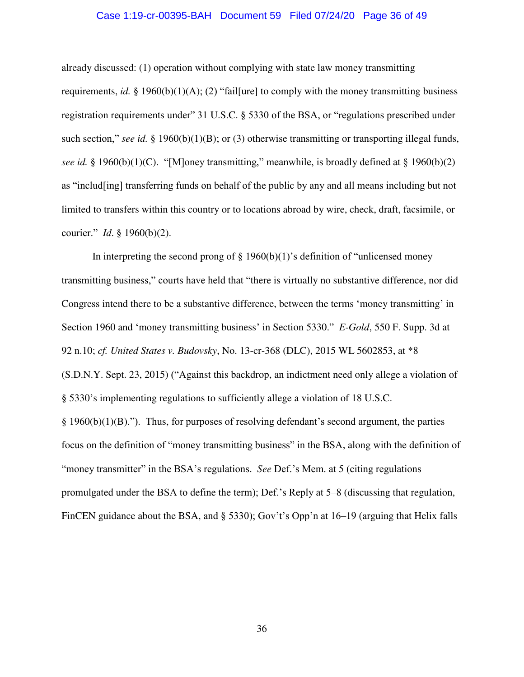### Case 1:19-cr-00395-BAH Document 59 Filed 07/24/20 Page 36 of 49

already discussed: (1) operation without complying with state law money transmitting requirements, *id.* § 1960(b)(1)(A); (2) "fail[ure] to comply with the money transmitting business registration requirements under" 31 U.S.C. § 5330 of the BSA, or "regulations prescribed under such section," *see id.* § 1960(b)(1)(B); or (3) otherwise transmitting or transporting illegal funds, *see id.* § 1960(b)(1)(C). "[M]oney transmitting," meanwhile, is broadly defined at § 1960(b)(2) as "includ[ing] transferring funds on behalf of the public by any and all means including but not limited to transfers within this country or to locations abroad by wire, check, draft, facsimile, or courier." *Id*. § 1960(b)(2).

In interpreting the second prong of  $\S$  1960(b)(1)'s definition of "unlicensed money transmitting business," courts have held that "there is virtually no substantive difference, nor did Congress intend there to be a substantive difference, between the terms 'money transmitting' in Section 1960 and 'money transmitting business' in Section 5330." *E-Gold*, 550 F. Supp. 3d at 92 n.10; *cf. United States v. Budovsky*, No. 13-cr-368 (DLC), 2015 WL 5602853, at \*8 (S.D.N.Y. Sept. 23, 2015) ("Against this backdrop, an indictment need only allege a violation of § 5330's implementing regulations to sufficiently allege a violation of 18 U.S.C.  $§$  1960(b)(1)(B)."). Thus, for purposes of resolving defendant's second argument, the parties focus on the definition of "money transmitting business" in the BSA, along with the definition of "money transmitter" in the BSA's regulations. *See* Def.'s Mem. at 5 (citing regulations promulgated under the BSA to define the term); Def.'s Reply at 5–8 (discussing that regulation, FinCEN guidance about the BSA, and § 5330); Gov't's Opp'n at 16–19 (arguing that Helix falls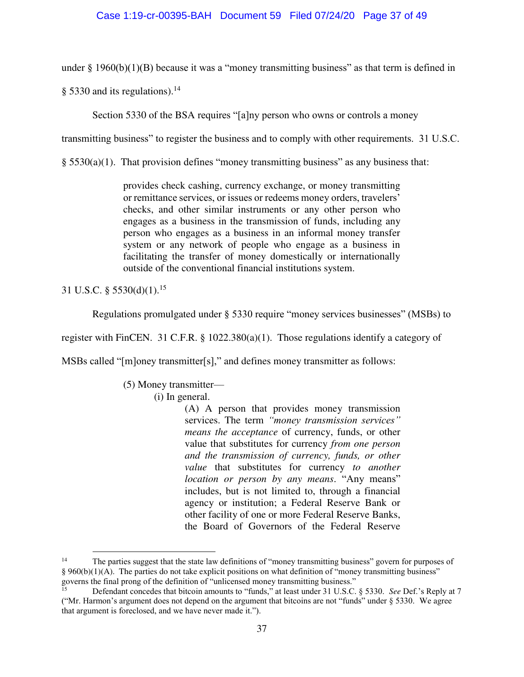# Case 1:19-cr-00395-BAH Document 59 Filed 07/24/20 Page 37 of 49

under  $\S 1960(b)(1)(B)$  because it was a "money transmitting business" as that term is defined in

§ 5330 and its regulations).<sup>14</sup>

Section 5330 of the BSA requires "[a]ny person who owns or controls a money

transmitting business" to register the business and to comply with other requirements. 31 U.S.C.

 $\S$  5530(a)(1). That provision defines "money transmitting business" as any business that:

provides check cashing, currency exchange, or money transmitting or remittance services, or issues or redeems money orders, travelers' checks, and other similar instruments or any other person who engages as a business in the transmission of funds, including any person who engages as a business in an informal money transfer system or any network of people who engage as a business in facilitating the transfer of money domestically or internationally outside of the conventional financial institutions system.

31 U.S.C. § 5530(d)(1).<sup>15</sup>

 $\overline{a}$ 

Regulations promulgated under § 5330 require "money services businesses" (MSBs) to

register with FinCEN. 31 C.F.R. § 1022.380(a)(1). Those regulations identify a category of

MSBs called "[m]oney transmitter[s]," and defines money transmitter as follows:

(5) Money transmitter—

(i) In general.

(A) A person that provides money transmission services. The term *"money transmission services" means the acceptance* of currency, funds, or other value that substitutes for currency *from one person and the transmission of currency, funds, or other value* that substitutes for currency *to another location or person by any means*. "Any means" includes, but is not limited to, through a financial agency or institution; a Federal Reserve Bank or other facility of one or more Federal Reserve Banks, the Board of Governors of the Federal Reserve

<sup>14</sup> The parties suggest that the state law definitions of "money transmitting business" govern for purposes of § 960(b)(1)(A). The parties do not take explicit positions on what definition of "money transmitting business" governs the final prong of the definition of "unlicensed money transmitting business."

<sup>15</sup> Defendant concedes that bitcoin amounts to "funds," at least under 31 U.S.C. § 5330. *See* Def.'s Reply at 7 ("Mr. Harmon's argument does not depend on the argument that bitcoins are not "funds" under § 5330. We agree that argument is foreclosed, and we have never made it.").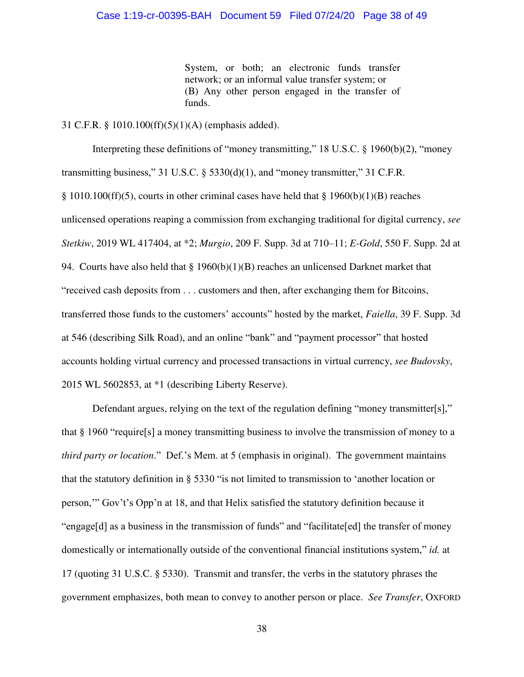# Case 1:19-cr-00395-BAH Document 59 Filed 07/24/20 Page 38 of 49

System, or both; an electronic funds transfer network; or an informal value transfer system; or (B) Any other person engaged in the transfer of funds.

31 C.F.R. § 1010.100(ff)(5)(1)(A) (emphasis added).

Interpreting these definitions of "money transmitting," 18 U.S.C. § 1960(b)(2), "money transmitting business," 31 U.S.C. § 5330(d)(1), and "money transmitter," 31 C.F.R. § 1010.100(ff)(5), courts in other criminal cases have held that § 1960(b)(1)(B) reaches unlicensed operations reaping a commission from exchanging traditional for digital currency, *see Stetkiw*, 2019 WL 417404, at \*2; *Murgio*, 209 F. Supp. 3d at 710–11; *E-Gold*, 550 F. Supp. 2d at 94. Courts have also held that  $\S 1960(b)(1)(B)$  reaches an unlicensed Darknet market that "received cash deposits from . . . customers and then, after exchanging them for Bitcoins, transferred those funds to the customers' accounts" hosted by the market, *Faiella*, 39 F. Supp. 3d at 546 (describing Silk Road), and an online "bank" and "payment processor" that hosted accounts holding virtual currency and processed transactions in virtual currency, *see Budovsky*, 2015 WL 5602853, at \*1 (describing Liberty Reserve).

Defendant argues, relying on the text of the regulation defining "money transmitter[s]," that § 1960 "require[s] a money transmitting business to involve the transmission of money to a *third party or location*." Def.'s Mem. at 5 (emphasis in original). The government maintains that the statutory definition in § 5330 "is not limited to transmission to 'another location or person,'" Gov't's Opp'n at 18, and that Helix satisfied the statutory definition because it "engage[d] as a business in the transmission of funds" and "facilitate[ed] the transfer of money domestically or internationally outside of the conventional financial institutions system," *id.* at 17 (quoting 31 U.S.C. § 5330). Transmit and transfer, the verbs in the statutory phrases the government emphasizes, both mean to convey to another person or place. *See Transfer*, OXFORD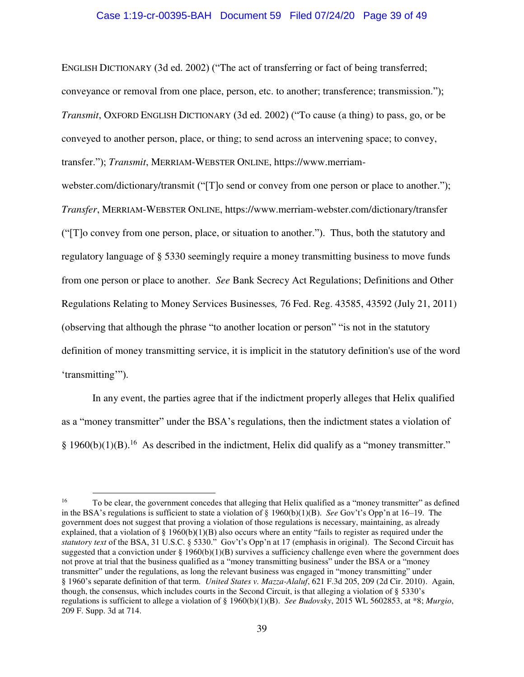# Case 1:19-cr-00395-BAH Document 59 Filed 07/24/20 Page 39 of 49

ENGLISH DICTIONARY (3d ed. 2002) ("The act of transferring or fact of being transferred; conveyance or removal from one place, person, etc. to another; transference; transmission."); *Transmit*, OXFORD ENGLISH DICTIONARY (3d ed. 2002) ("To cause (a thing) to pass, go, or be conveyed to another person, place, or thing; to send across an intervening space; to convey, transfer."); *Transmit*, MERRIAM-WEBSTER ONLINE, https://www.merriam-

webster.com/dictionary/transmit ("[T]o send or convey from one person or place to another."); *Transfer*, MERRIAM-WEBSTER ONLINE, https://www.merriam-webster.com/dictionary/transfer ("[T]o convey from one person, place, or situation to another."). Thus, both the statutory and regulatory language of § 5330 seemingly require a money transmitting business to move funds from one person or place to another. *See* Bank Secrecy Act Regulations; Definitions and Other Regulations Relating to Money Services Businesses*,* 76 Fed. Reg. 43585, 43592 (July 21, 2011) (observing that although the phrase "to another location or person" "is not in the statutory definition of money transmitting service, it is implicit in the statutory definition's use of the word 'transmitting'").

In any event, the parties agree that if the indictment properly alleges that Helix qualified as a "money transmitter" under the BSA's regulations, then the indictment states a violation of § 1960(b)(1)(B).<sup>16</sup> As described in the indictment, Helix did qualify as a "money transmitter."

<sup>16</sup> To be clear, the government concedes that alleging that Helix qualified as a "money transmitter" as defined in the BSA's regulations is sufficient to state a violation of § 1960(b)(1)(B). *See* Gov't's Opp'n at 16–19. The government does not suggest that proving a violation of those regulations is necessary, maintaining, as already explained, that a violation of  $\S 1960(b)(1)(B)$  also occurs where an entity "fails to register as required under the *statutory text* of the BSA, 31 U.S.C. § 5330." Gov't's Opp'n at 17 (emphasis in original). The Second Circuit has suggested that a conviction under  $\S 1960(b)(1)(B)$  survives a sufficiency challenge even where the government does not prove at trial that the business qualified as a "money transmitting business" under the BSA or a "money transmitter" under the regulations, as long the relevant business was engaged in "money transmitting" under § 1960's separate definition of that term. *United States v. Mazza-Alaluf*, 621 F.3d 205, 209 (2d Cir. 2010). Again, though, the consensus, which includes courts in the Second Circuit, is that alleging a violation of § 5330's regulations is sufficient to allege a violation of § 1960(b)(1)(B). *See Budovsky*, 2015 WL 5602853, at \*8; *Murgio*, 209 F. Supp. 3d at 714.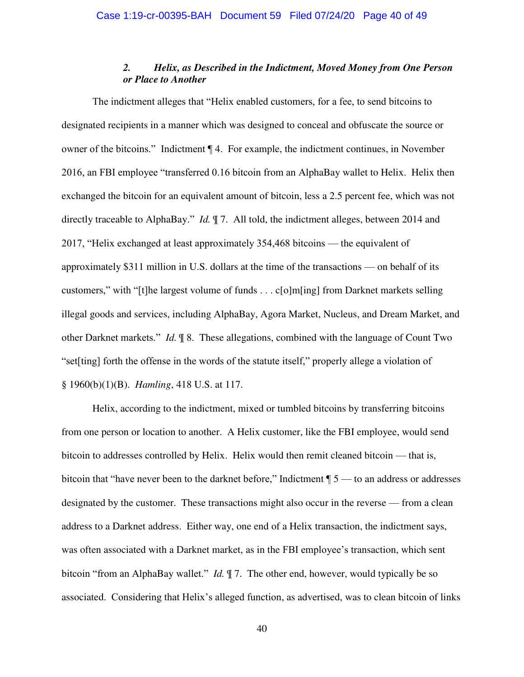# *2. Helix, as Described in the Indictment, Moved Money from One Person or Place to Another*

The indictment alleges that "Helix enabled customers, for a fee, to send bitcoins to designated recipients in a manner which was designed to conceal and obfuscate the source or owner of the bitcoins." Indictment ¶ 4. For example, the indictment continues, in November 2016, an FBI employee "transferred 0.16 bitcoin from an AlphaBay wallet to Helix. Helix then exchanged the bitcoin for an equivalent amount of bitcoin, less a 2.5 percent fee, which was not directly traceable to AlphaBay." *Id.* ¶ 7. All told, the indictment alleges, between 2014 and 2017, "Helix exchanged at least approximately 354,468 bitcoins — the equivalent of approximately \$311 million in U.S. dollars at the time of the transactions — on behalf of its customers," with "[t]he largest volume of funds . . .  $c[\text{o}]}m[i]$  from Darknet markets selling illegal goods and services, including AlphaBay, Agora Market, Nucleus, and Dream Market, and other Darknet markets." *Id.* ¶ 8. These allegations, combined with the language of Count Two "set[ting] forth the offense in the words of the statute itself," properly allege a violation of § 1960(b)(1)(B). *Hamling*, 418 U.S. at 117.

Helix, according to the indictment, mixed or tumbled bitcoins by transferring bitcoins from one person or location to another. A Helix customer, like the FBI employee, would send bitcoin to addresses controlled by Helix. Helix would then remit cleaned bitcoin — that is, bitcoin that "have never been to the darknet before," Indictment ¶ 5 — to an address or addresses designated by the customer. These transactions might also occur in the reverse — from a clean address to a Darknet address. Either way, one end of a Helix transaction, the indictment says, was often associated with a Darknet market, as in the FBI employee's transaction, which sent bitcoin "from an AlphaBay wallet." *Id.* ¶ 7. The other end, however, would typically be so associated. Considering that Helix's alleged function, as advertised, was to clean bitcoin of links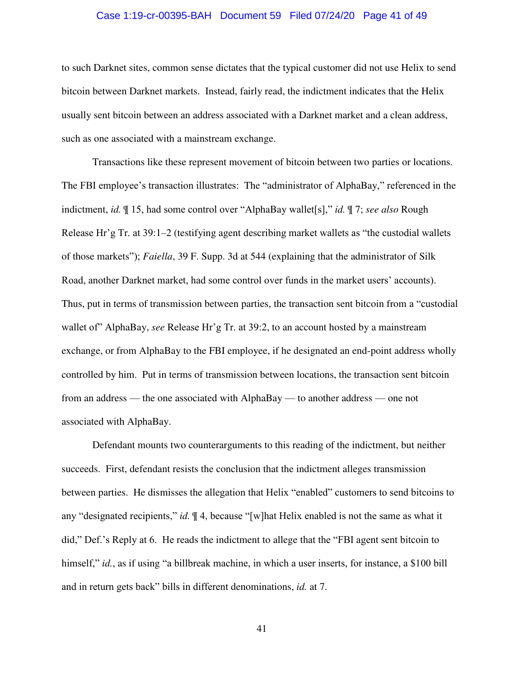# Case 1:19-cr-00395-BAH Document 59 Filed 07/24/20 Page 41 of 49

to such Darknet sites, common sense dictates that the typical customer did not use Helix to send bitcoin between Darknet markets. Instead, fairly read, the indictment indicates that the Helix usually sent bitcoin between an address associated with a Darknet market and a clean address, such as one associated with a mainstream exchange.

Transactions like these represent movement of bitcoin between two parties or locations. The FBI employee's transaction illustrates: The "administrator of AlphaBay," referenced in the indictment, *id.* ¶ 15, had some control over "AlphaBay wallet[s]," *id.* ¶ 7; *see also* Rough Release Hr'g Tr. at 39:1–2 (testifying agent describing market wallets as "the custodial wallets of those markets"); *Faiella*, 39 F. Supp. 3d at 544 (explaining that the administrator of Silk Road, another Darknet market, had some control over funds in the market users' accounts). Thus, put in terms of transmission between parties, the transaction sent bitcoin from a "custodial wallet of" AlphaBay, *see* Release Hr'g Tr. at 39:2, to an account hosted by a mainstream exchange, or from AlphaBay to the FBI employee, if he designated an end-point address wholly controlled by him. Put in terms of transmission between locations, the transaction sent bitcoin from an address — the one associated with AlphaBay — to another address — one not associated with AlphaBay.

Defendant mounts two counterarguments to this reading of the indictment, but neither succeeds. First, defendant resists the conclusion that the indictment alleges transmission between parties. He dismisses the allegation that Helix "enabled" customers to send bitcoins to any "designated recipients," *id.* ¶ 4, because "[w]hat Helix enabled is not the same as what it did," Def.'s Reply at 6. He reads the indictment to allege that the "FBI agent sent bitcoin to himself," *id.*, as if using "a billbreak machine, in which a user inserts, for instance, a \$100 bill and in return gets back" bills in different denominations, *id.* at 7.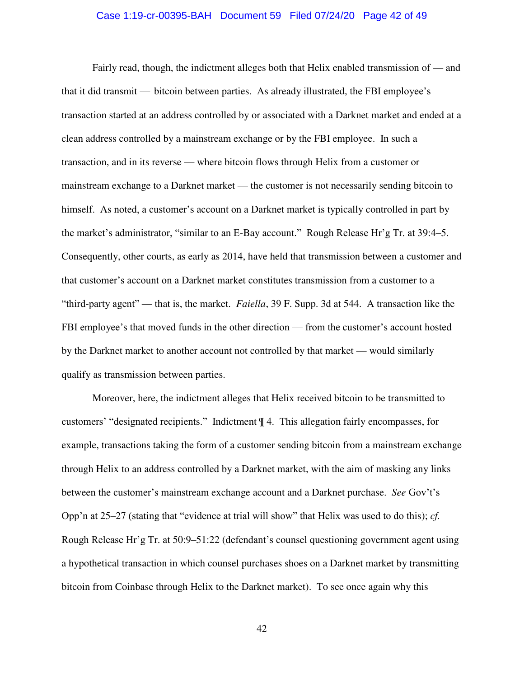### Case 1:19-cr-00395-BAH Document 59 Filed 07/24/20 Page 42 of 49

Fairly read, though, the indictment alleges both that Helix enabled transmission of — and that it did transmit — bitcoin between parties. As already illustrated, the FBI employee's transaction started at an address controlled by or associated with a Darknet market and ended at a clean address controlled by a mainstream exchange or by the FBI employee. In such a transaction, and in its reverse — where bitcoin flows through Helix from a customer or mainstream exchange to a Darknet market — the customer is not necessarily sending bitcoin to himself. As noted, a customer's account on a Darknet market is typically controlled in part by the market's administrator, "similar to an E-Bay account." Rough Release Hr'g Tr. at 39:4–5. Consequently, other courts, as early as 2014, have held that transmission between a customer and that customer's account on a Darknet market constitutes transmission from a customer to a "third-party agent" — that is, the market. *Faiella*, 39 F. Supp. 3d at 544. A transaction like the FBI employee's that moved funds in the other direction — from the customer's account hosted by the Darknet market to another account not controlled by that market — would similarly qualify as transmission between parties.

Moreover, here, the indictment alleges that Helix received bitcoin to be transmitted to customers' "designated recipients." Indictment ¶ 4. This allegation fairly encompasses, for example, transactions taking the form of a customer sending bitcoin from a mainstream exchange through Helix to an address controlled by a Darknet market, with the aim of masking any links between the customer's mainstream exchange account and a Darknet purchase. *See* Gov't's Opp'n at 25–27 (stating that "evidence at trial will show" that Helix was used to do this); *cf.*  Rough Release Hr'g Tr. at 50:9–51:22 (defendant's counsel questioning government agent using a hypothetical transaction in which counsel purchases shoes on a Darknet market by transmitting bitcoin from Coinbase through Helix to the Darknet market). To see once again why this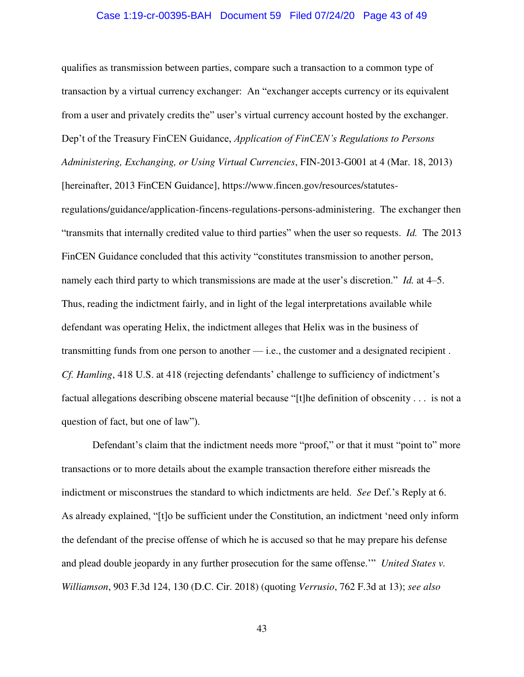# Case 1:19-cr-00395-BAH Document 59 Filed 07/24/20 Page 43 of 49

qualifies as transmission between parties, compare such a transaction to a common type of transaction by a virtual currency exchanger: An "exchanger accepts currency or its equivalent from a user and privately credits the" user's virtual currency account hosted by the exchanger. Dep't of the Treasury FinCEN Guidance, *Application of FinCEN's Regulations to Persons Administering, Exchanging, or Using Virtual Currencies*, FIN-2013-G001 at 4 (Mar. 18, 2013) [hereinafter, 2013 FinCEN Guidance], https://www.fincen.gov/resources/statutes-

regulations/guidance/application-fincens-regulations-persons-administering.The exchanger then "transmits that internally credited value to third parties" when the user so requests. *Id.* The 2013 FinCEN Guidance concluded that this activity "constitutes transmission to another person, namely each third party to which transmissions are made at the user's discretion." *Id.* at 4–5. Thus, reading the indictment fairly, and in light of the legal interpretations available while defendant was operating Helix, the indictment alleges that Helix was in the business of transmitting funds from one person to another — i.e., the customer and a designated recipient . *Cf. Hamling*, 418 U.S. at 418 (rejecting defendants' challenge to sufficiency of indictment's factual allegations describing obscene material because "[t]he definition of obscenity . . . is not a question of fact, but one of law").

Defendant's claim that the indictment needs more "proof," or that it must "point to" more transactions or to more details about the example transaction therefore either misreads the indictment or misconstrues the standard to which indictments are held. *See* Def.'s Reply at 6. As already explained, "[t]o be sufficient under the Constitution, an indictment 'need only inform the defendant of the precise offense of which he is accused so that he may prepare his defense and plead double jeopardy in any further prosecution for the same offense.'" *United States v. Williamson*, 903 F.3d 124, 130 (D.C. Cir. 2018) (quoting *Verrusio*, 762 F.3d at 13); *see also*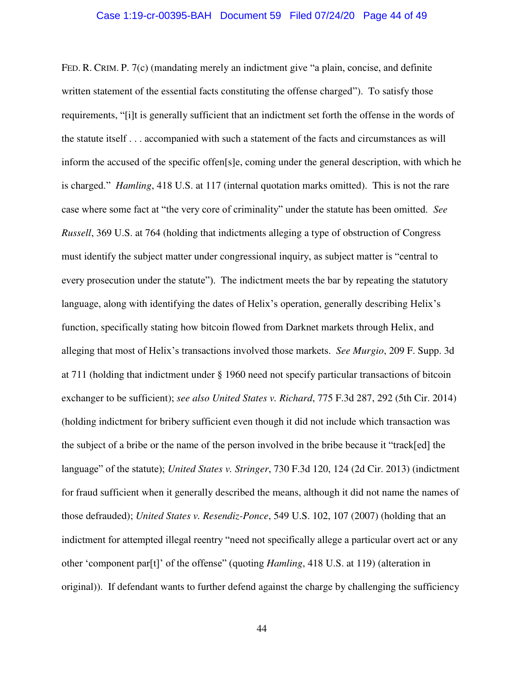## Case 1:19-cr-00395-BAH Document 59 Filed 07/24/20 Page 44 of 49

FED. R. CRIM. P. 7(c) (mandating merely an indictment give "a plain, concise, and definite written statement of the essential facts constituting the offense charged"). To satisfy those requirements, "[i]t is generally sufficient that an indictment set forth the offense in the words of the statute itself . . . accompanied with such a statement of the facts and circumstances as will inform the accused of the specific offen[s]e, coming under the general description, with which he is charged." *Hamling*, 418 U.S. at 117 (internal quotation marks omitted). This is not the rare case where some fact at "the very core of criminality" under the statute has been omitted. *See Russell*, 369 U.S. at 764 (holding that indictments alleging a type of obstruction of Congress must identify the subject matter under congressional inquiry, as subject matter is "central to every prosecution under the statute"). The indictment meets the bar by repeating the statutory language, along with identifying the dates of Helix's operation, generally describing Helix's function, specifically stating how bitcoin flowed from Darknet markets through Helix, and alleging that most of Helix's transactions involved those markets. *See Murgio*, 209 F. Supp. 3d at 711 (holding that indictment under § 1960 need not specify particular transactions of bitcoin exchanger to be sufficient); *see also United States v. Richard*, 775 F.3d 287, 292 (5th Cir. 2014) (holding indictment for bribery sufficient even though it did not include which transaction was the subject of a bribe or the name of the person involved in the bribe because it "track[ed] the language" of the statute); *United States v. Stringer*, 730 F.3d 120, 124 (2d Cir. 2013) (indictment for fraud sufficient when it generally described the means, although it did not name the names of those defrauded); *United States v. Resendiz-Ponce*, 549 U.S. 102, 107 (2007) (holding that an indictment for attempted illegal reentry "need not specifically allege a particular overt act or any other 'component par[t]' of the offense" (quoting *Hamling*, 418 U.S. at 119) (alteration in original)). If defendant wants to further defend against the charge by challenging the sufficiency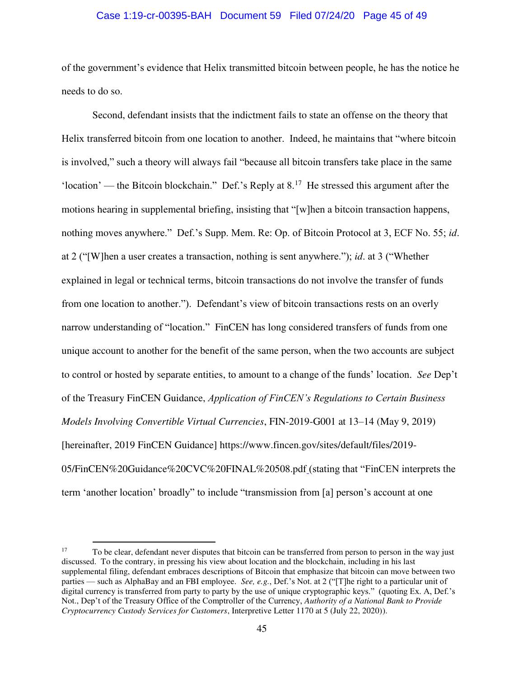# Case 1:19-cr-00395-BAH Document 59 Filed 07/24/20 Page 45 of 49

of the government's evidence that Helix transmitted bitcoin between people, he has the notice he needs to do so.

Second, defendant insists that the indictment fails to state an offense on the theory that Helix transferred bitcoin from one location to another. Indeed, he maintains that "where bitcoin is involved," such a theory will always fail "because all bitcoin transfers take place in the same 'location' — the Bitcoin blockchain." Def.'s Reply at  $8<sup>17</sup>$  He stressed this argument after the motions hearing in supplemental briefing, insisting that "[w]hen a bitcoin transaction happens, nothing moves anywhere." Def.'s Supp. Mem. Re: Op. of Bitcoin Protocol at 3, ECF No. 55; *id*. at 2 ("[W]hen a user creates a transaction, nothing is sent anywhere."); *id*. at 3 ("Whether explained in legal or technical terms, bitcoin transactions do not involve the transfer of funds from one location to another."). Defendant's view of bitcoin transactions rests on an overly narrow understanding of "location." FinCEN has long considered transfers of funds from one unique account to another for the benefit of the same person, when the two accounts are subject to control or hosted by separate entities, to amount to a change of the funds' location. *See* Dep't of the Treasury FinCEN Guidance, *Application of FinCEN's Regulations to Certain Business Models Involving Convertible Virtual Currencies*, FIN-2019-G001 at 13–14 (May 9, 2019) [hereinafter, 2019 FinCEN Guidance] https://www.fincen.gov/sites/default/files/2019- 05/FinCEN%20Guidance%20CVC%20FINAL%20508.pdf (stating that "FinCEN interprets the term 'another location' broadly" to include "transmission from [a] person's account at one

<sup>&</sup>lt;sup>17</sup> To be clear, defendant never disputes that bitcoin can be transferred from person to person in the way just discussed. To the contrary, in pressing his view about location and the blockchain, including in his last supplemental filing, defendant embraces descriptions of Bitcoin that emphasize that bitcoin can move between two parties — such as AlphaBay and an FBI employee. *See, e.g.*, Def.'s Not. at 2 ("[T]he right to a particular unit of digital currency is transferred from party to party by the use of unique cryptographic keys." (quoting Ex. A, Def.'s Not., Dep't of the Treasury Office of the Comptroller of the Currency, *Authority of a National Bank to Provide Cryptocurrency Custody Services for Customers*, Interpretive Letter 1170 at 5 (July 22, 2020)).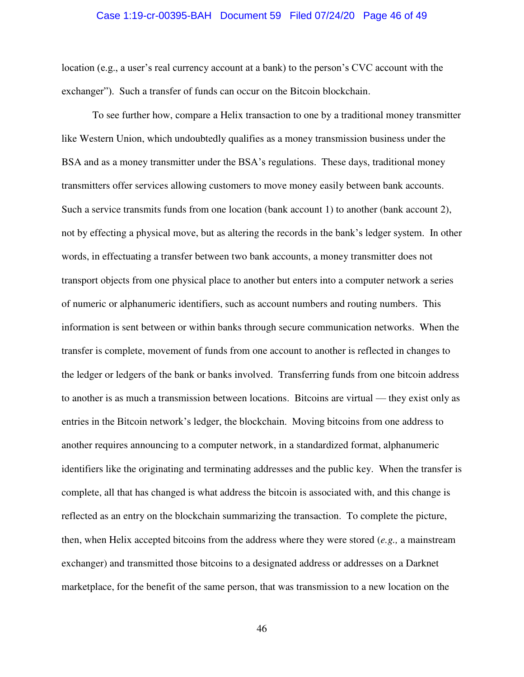### Case 1:19-cr-00395-BAH Document 59 Filed 07/24/20 Page 46 of 49

location (e.g., a user's real currency account at a bank) to the person's CVC account with the exchanger"). Such a transfer of funds can occur on the Bitcoin blockchain.

To see further how, compare a Helix transaction to one by a traditional money transmitter like Western Union, which undoubtedly qualifies as a money transmission business under the BSA and as a money transmitter under the BSA's regulations. These days, traditional money transmitters offer services allowing customers to move money easily between bank accounts. Such a service transmits funds from one location (bank account 1) to another (bank account 2), not by effecting a physical move, but as altering the records in the bank's ledger system. In other words, in effectuating a transfer between two bank accounts, a money transmitter does not transport objects from one physical place to another but enters into a computer network a series of numeric or alphanumeric identifiers, such as account numbers and routing numbers. This information is sent between or within banks through secure communication networks. When the transfer is complete, movement of funds from one account to another is reflected in changes to the ledger or ledgers of the bank or banks involved. Transferring funds from one bitcoin address to another is as much a transmission between locations. Bitcoins are virtual — they exist only as entries in the Bitcoin network's ledger, the blockchain. Moving bitcoins from one address to another requires announcing to a computer network, in a standardized format, alphanumeric identifiers like the originating and terminating addresses and the public key. When the transfer is complete, all that has changed is what address the bitcoin is associated with, and this change is reflected as an entry on the blockchain summarizing the transaction. To complete the picture, then, when Helix accepted bitcoins from the address where they were stored (*e.g.,* a mainstream exchanger) and transmitted those bitcoins to a designated address or addresses on a Darknet marketplace, for the benefit of the same person, that was transmission to a new location on the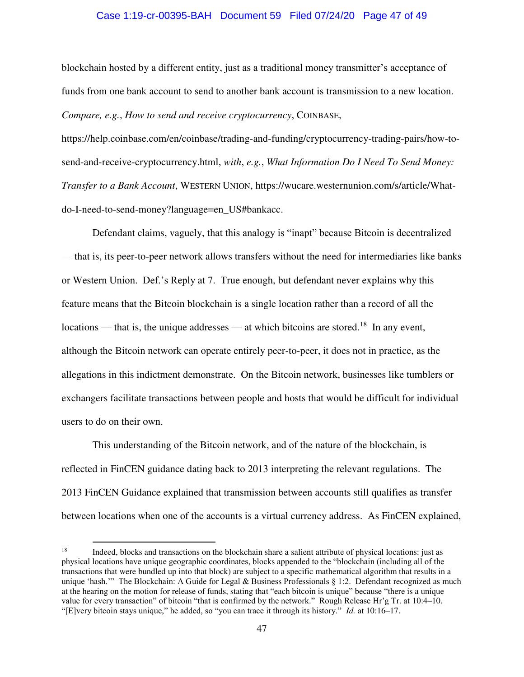# Case 1:19-cr-00395-BAH Document 59 Filed 07/24/20 Page 47 of 49

blockchain hosted by a different entity, just as a traditional money transmitter's acceptance of funds from one bank account to send to another bank account is transmission to a new location. *Compare, e.g.*, *How to send and receive cryptocurrency*, COINBASE,

https://help.coinbase.com/en/coinbase/trading-and-funding/cryptocurrency-trading-pairs/how-tosend-and-receive-cryptocurrency.html, *with*, *e.g.*, *What Information Do I Need To Send Money: Transfer to a Bank Account*, WESTERN UNION, https://wucare.westernunion.com/s/article/Whatdo-I-need-to-send-money?language=en\_US#bankacc.

Defendant claims, vaguely, that this analogy is "inapt" because Bitcoin is decentralized — that is, its peer-to-peer network allows transfers without the need for intermediaries like banks or Western Union. Def.'s Reply at 7. True enough, but defendant never explains why this feature means that the Bitcoin blockchain is a single location rather than a record of all the locations — that is, the unique addresses — at which bitcoins are stored.<sup>18</sup> In any event, although the Bitcoin network can operate entirely peer-to-peer, it does not in practice, as the allegations in this indictment demonstrate. On the Bitcoin network, businesses like tumblers or exchangers facilitate transactions between people and hosts that would be difficult for individual users to do on their own.

This understanding of the Bitcoin network, and of the nature of the blockchain, is reflected in FinCEN guidance dating back to 2013 interpreting the relevant regulations. The 2013 FinCEN Guidance explained that transmission between accounts still qualifies as transfer between locations when one of the accounts is a virtual currency address. As FinCEN explained,

<sup>&</sup>lt;sup>18</sup> Indeed, blocks and transactions on the blockchain share a salient attribute of physical locations: just as physical locations have unique geographic coordinates, blocks appended to the "blockchain (including all of the transactions that were bundled up into that block) are subject to a specific mathematical algorithm that results in a unique 'hash.'" The Blockchain: A Guide for Legal & Business Professionals § 1:2. Defendant recognized as much at the hearing on the motion for release of funds, stating that "each bitcoin is unique" because "there is a unique value for every transaction" of bitcoin "that is confirmed by the network." Rough Release Hr'g Tr. at 10:4–10. "[E]very bitcoin stays unique," he added, so "you can trace it through its history." *Id.* at 10:16–17.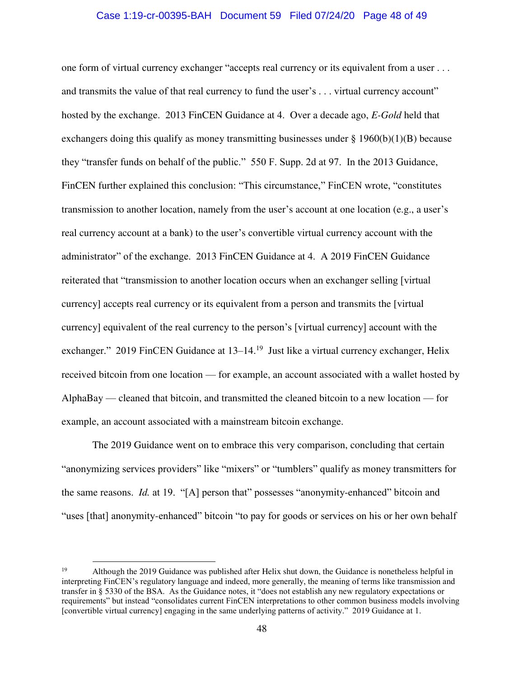# Case 1:19-cr-00395-BAH Document 59 Filed 07/24/20 Page 48 of 49

one form of virtual currency exchanger "accepts real currency or its equivalent from a user . . . and transmits the value of that real currency to fund the user's . . . virtual currency account" hosted by the exchange. 2013 FinCEN Guidance at 4. Over a decade ago, *E-Gold* held that exchangers doing this qualify as money transmitting businesses under  $\S 1960(b)(1)(B)$  because they "transfer funds on behalf of the public." 550 F. Supp. 2d at 97. In the 2013 Guidance, FinCEN further explained this conclusion: "This circumstance," FinCEN wrote, "constitutes transmission to another location, namely from the user's account at one location (e.g., a user's real currency account at a bank) to the user's convertible virtual currency account with the administrator" of the exchange. 2013 FinCEN Guidance at 4. A 2019 FinCEN Guidance reiterated that "transmission to another location occurs when an exchanger selling [virtual currency] accepts real currency or its equivalent from a person and transmits the [virtual currency] equivalent of the real currency to the person's [virtual currency] account with the exchanger." 2019 FinCEN Guidance at 13–14.<sup>19</sup> Just like a virtual currency exchanger, Helix received bitcoin from one location — for example, an account associated with a wallet hosted by AlphaBay — cleaned that bitcoin, and transmitted the cleaned bitcoin to a new location — for example, an account associated with a mainstream bitcoin exchange.

The 2019 Guidance went on to embrace this very comparison, concluding that certain "anonymizing services providers" like "mixers" or "tumblers" qualify as money transmitters for the same reasons. *Id.* at 19. "[A] person that" possesses "anonymity-enhanced" bitcoin and "uses [that] anonymity-enhanced" bitcoin "to pay for goods or services on his or her own behalf

<sup>&</sup>lt;sup>19</sup> Although the 2019 Guidance was published after Helix shut down, the Guidance is nonetheless helpful in interpreting FinCEN's regulatory language and indeed, more generally, the meaning of terms like transmission and transfer in § 5330 of the BSA. As the Guidance notes, it "does not establish any new regulatory expectations or requirements" but instead "consolidates current FinCEN interpretations to other common business models involving [convertible virtual currency] engaging in the same underlying patterns of activity." 2019 Guidance at 1.